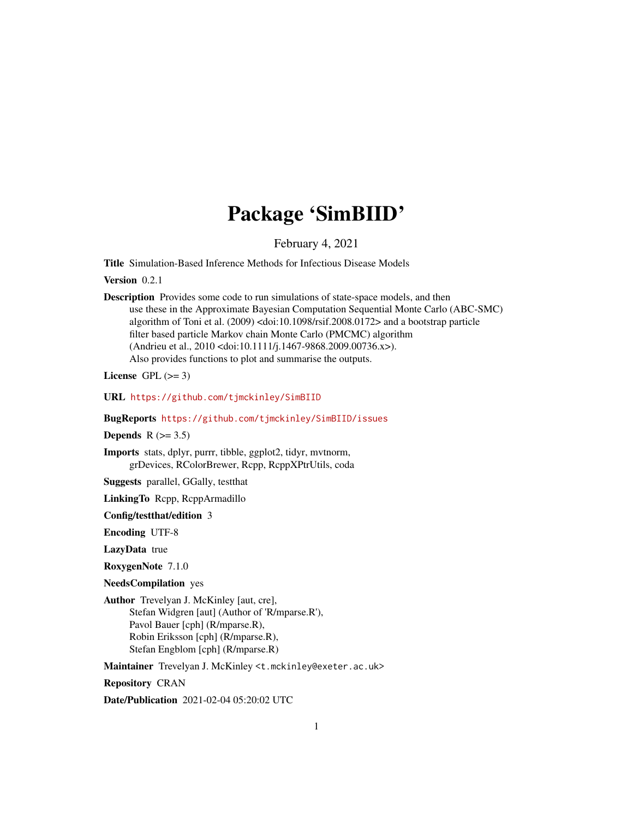## Package 'SimBIID'

February 4, 2021

<span id="page-0-0"></span>Title Simulation-Based Inference Methods for Infectious Disease Models

Version 0.2.1

Description Provides some code to run simulations of state-space models, and then use these in the Approximate Bayesian Computation Sequential Monte Carlo (ABC-SMC) algorithm of Toni et al. (2009) <doi:10.1098/rsif.2008.0172> and a bootstrap particle filter based particle Markov chain Monte Carlo (PMCMC) algorithm (Andrieu et al., 2010 <doi:10.1111/j.1467-9868.2009.00736.x>). Also provides functions to plot and summarise the outputs.

License GPL  $(>= 3)$ 

URL <https://github.com/tjmckinley/SimBIID>

BugReports <https://github.com/tjmckinley/SimBIID/issues>

Depends  $R$  ( $>= 3.5$ )

Imports stats, dplyr, purrr, tibble, ggplot2, tidyr, mvtnorm, grDevices, RColorBrewer, Rcpp, RcppXPtrUtils, coda

Suggests parallel, GGally, testthat

LinkingTo Rcpp, RcppArmadillo

Config/testthat/edition 3

Encoding UTF-8

LazyData true

RoxygenNote 7.1.0

NeedsCompilation yes

Author Trevelyan J. McKinley [aut, cre], Stefan Widgren [aut] (Author of 'R/mparse.R'), Pavol Bauer [cph] (R/mparse.R), Robin Eriksson [cph] (R/mparse.R), Stefan Engblom [cph] (R/mparse.R)

Maintainer Trevelyan J. McKinley <t.mckinley@exeter.ac.uk>

Repository CRAN

Date/Publication 2021-02-04 05:20:02 UTC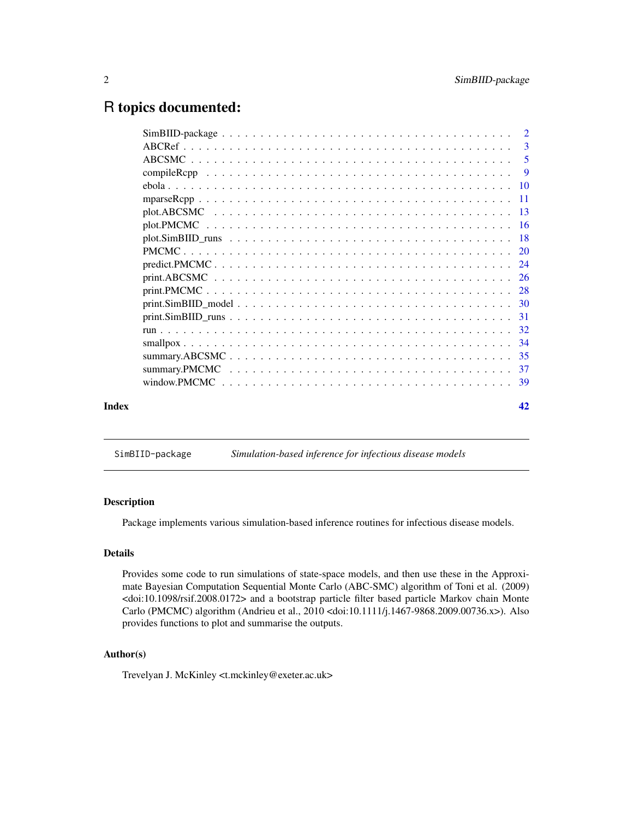## <span id="page-1-0"></span>R topics documented:

|       |                                                                                                                           | -5 |
|-------|---------------------------------------------------------------------------------------------------------------------------|----|
|       |                                                                                                                           |    |
|       |                                                                                                                           |    |
|       |                                                                                                                           |    |
|       |                                                                                                                           |    |
|       |                                                                                                                           |    |
|       | $plot.SimBIID_runs \dots \dots \dots \dots \dots \dots \dots \dots \dots \dots \dots \dots \dots \dots \dots \dots \dots$ |    |
|       |                                                                                                                           |    |
|       |                                                                                                                           |    |
|       |                                                                                                                           |    |
|       |                                                                                                                           |    |
|       |                                                                                                                           |    |
|       | $print.SimBIID_runs \ldots \ldots \ldots \ldots \ldots \ldots \ldots \ldots \ldots \ldots \ldots \ldots 31$               |    |
|       |                                                                                                                           |    |
|       |                                                                                                                           |    |
|       |                                                                                                                           |    |
|       |                                                                                                                           |    |
|       |                                                                                                                           |    |
| Index |                                                                                                                           | 42 |

SimBIID-package *Simulation-based inference for infectious disease models*

## Description

Package implements various simulation-based inference routines for infectious disease models.

## Details

Provides some code to run simulations of state-space models, and then use these in the Approximate Bayesian Computation Sequential Monte Carlo (ABC-SMC) algorithm of Toni et al. (2009) <doi:10.1098/rsif.2008.0172> and a bootstrap particle filter based particle Markov chain Monte Carlo (PMCMC) algorithm (Andrieu et al., 2010 <doi:10.1111/j.1467-9868.2009.00736.x>). Also provides functions to plot and summarise the outputs.

## Author(s)

Trevelyan J. McKinley <t.mckinley@exeter.ac.uk>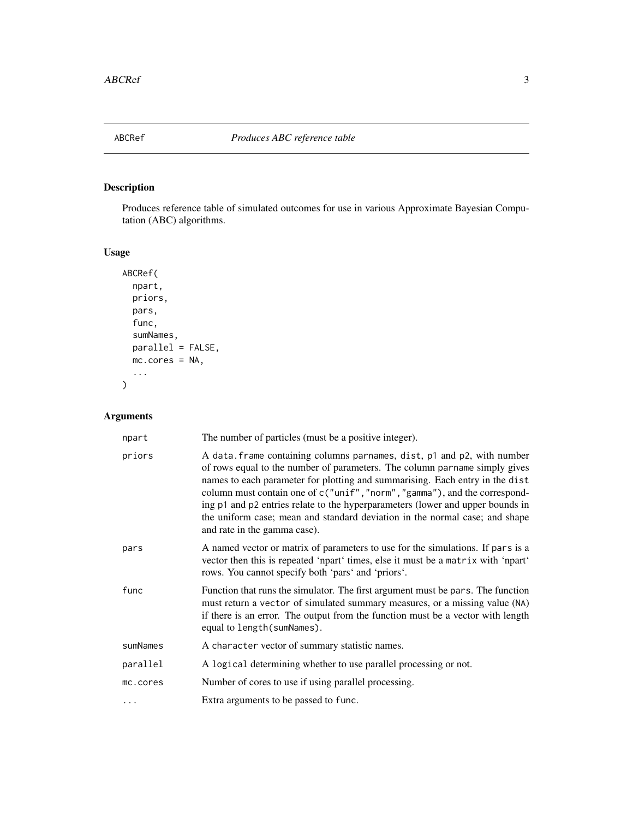<span id="page-2-0"></span>

## Description

Produces reference table of simulated outcomes for use in various Approximate Bayesian Computation (ABC) algorithms.

## Usage

```
ABCRef(
  npart,
  priors,
  pars,
  func,
  sumNames,
  parallel = FALSE,
  mc.cores = NA,
  ...
)
```
## Arguments

| npart    | The number of particles (must be a positive integer).                                                                                                                                                                                                                                                                                                                                                                                                                                                                |
|----------|----------------------------------------------------------------------------------------------------------------------------------------------------------------------------------------------------------------------------------------------------------------------------------------------------------------------------------------------------------------------------------------------------------------------------------------------------------------------------------------------------------------------|
| priors   | A data. frame containing columns parnames, dist, p1 and p2, with number<br>of rows equal to the number of parameters. The column parname simply gives<br>names to each parameter for plotting and summarising. Each entry in the dist<br>column must contain one of c("unif", "norm", "gamma"), and the correspond-<br>ing p1 and p2 entries relate to the hyperparameters (lower and upper bounds in<br>the uniform case; mean and standard deviation in the normal case; and shape<br>and rate in the gamma case). |
| pars     | A named vector or matrix of parameters to use for the simulations. If pars is a<br>vector then this is repeated 'npart' times, else it must be a matrix with 'npart'<br>rows. You cannot specify both 'pars' and 'priors'.                                                                                                                                                                                                                                                                                           |
| func     | Function that runs the simulator. The first argument must be pars. The function<br>must return a vector of simulated summary measures, or a missing value (NA)<br>if there is an error. The output from the function must be a vector with length<br>equal to length (sumNames).                                                                                                                                                                                                                                     |
| sumNames | A character vector of summary statistic names.                                                                                                                                                                                                                                                                                                                                                                                                                                                                       |
| parallel | A logical determining whether to use parallel processing or not.                                                                                                                                                                                                                                                                                                                                                                                                                                                     |
| mc.cores | Number of cores to use if using parallel processing.                                                                                                                                                                                                                                                                                                                                                                                                                                                                 |
| .        | Extra arguments to be passed to func.                                                                                                                                                                                                                                                                                                                                                                                                                                                                                |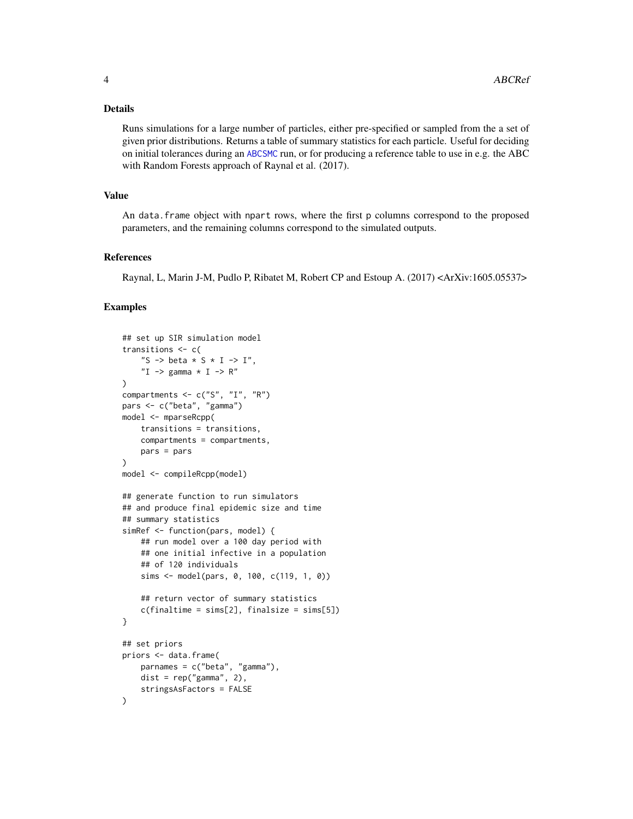#### <span id="page-3-0"></span>Details

Runs simulations for a large number of particles, either pre-specified or sampled from the a set of given prior distributions. Returns a table of summary statistics for each particle. Useful for deciding on initial tolerances during an [ABCSMC](#page-4-1) run, or for producing a reference table to use in e.g. the ABC with Random Forests approach of Raynal et al. (2017).

#### Value

An data.frame object with npart rows, where the first p columns correspond to the proposed parameters, and the remaining columns correspond to the simulated outputs.

#### References

Raynal, L, Marin J-M, Pudlo P, Ribatet M, Robert CP and Estoup A. (2017) <ArXiv:1605.05537>

```
## set up SIR simulation model
transitions <- c(
    "S -> beta * S * I -> I",
    "I \rightarrow gamma \star I \rightarrow R"
)
compartments \leq c("S", "I", "R")
pars <- c("beta", "gamma")
model <- mparseRcpp(
    transitions = transitions,
    compartments = compartments,
    pars = pars
)
model <- compileRcpp(model)
## generate function to run simulators
## and produce final epidemic size and time
## summary statistics
simRef <- function(pars, model) {
    ## run model over a 100 day period with
    ## one initial infective in a population
    ## of 120 individuals
    sims <- model(pars, 0, 100, c(119, 1, 0))
    ## return vector of summary statistics
    c(finaltime = sims[2], finalsize = sims[5])
}
## set priors
priors <- data.frame(
    parnames = c("beta", "gamma"),
    dist = rep("gamma", 2),stringsAsFactors = FALSE
)
```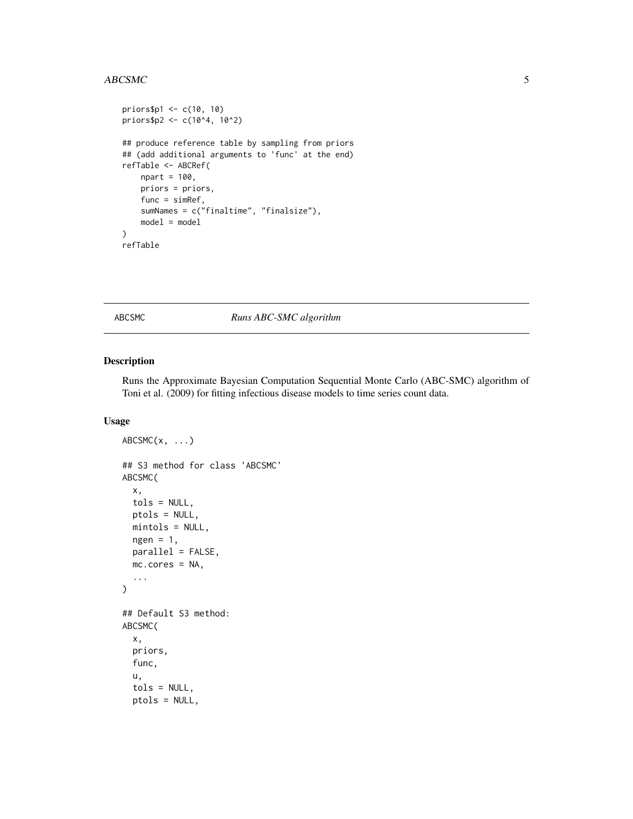#### <span id="page-4-0"></span>ABCSMC 5

```
priors$p1 <- c(10, 10)
priors$p2 <- c(10^4, 10^2)
## produce reference table by sampling from priors
## (add additional arguments to 'func' at the end)
refTable <- ABCRef(
   npart = 100,
   priors = priors,
   func = simRef,
   sumNames = c("finaltime", "finalsize"),
   model = model
)
refTable
```
## <span id="page-4-1"></span>ABCSMC *Runs ABC-SMC algorithm*

## Description

Runs the Approximate Bayesian Computation Sequential Monte Carlo (ABC-SMC) algorithm of Toni et al. (2009) for fitting infectious disease models to time series count data.

## Usage

```
ABCSMC(x, \ldots)## S3 method for class 'ABCSMC'
ABCSMC(
  x,
  tols = NULL,
 ptols = NULL,
 mintols = NULL,
  ngen = 1,parallel = FALSE,
 mc.cores = NA,
  ...
)
## Default S3 method:
ABCSMC(
  x,
 priors,
  func,
  u,
  tols = NULL,
  ptols = NULL,
```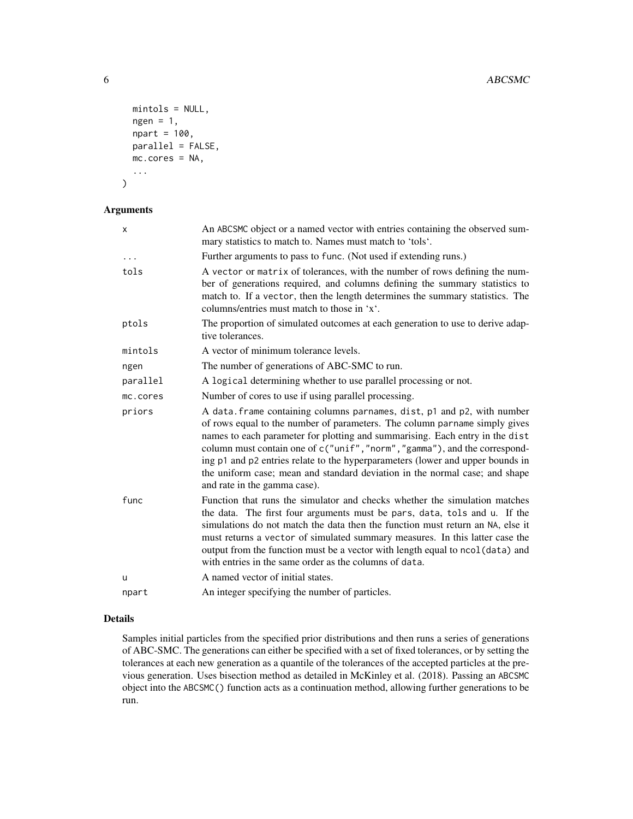```
mintols = NULL,
 ngen = 1,npart = 100,
 parallel = FALSE,
 mc.cores = NA,
  ...
)
```
## Arguments

| x        | An ABCSMC object or a named vector with entries containing the observed sum-<br>mary statistics to match to. Names must match to 'tols'.                                                                                                                                                                                                                                                                                                                                                                           |  |
|----------|--------------------------------------------------------------------------------------------------------------------------------------------------------------------------------------------------------------------------------------------------------------------------------------------------------------------------------------------------------------------------------------------------------------------------------------------------------------------------------------------------------------------|--|
|          | Further arguments to pass to func. (Not used if extending runs.)                                                                                                                                                                                                                                                                                                                                                                                                                                                   |  |
| tols     | A vector or matrix of tolerances, with the number of rows defining the num-<br>ber of generations required, and columns defining the summary statistics to<br>match to. If a vector, then the length determines the summary statistics. The<br>columns/entries must match to those in 'x'.                                                                                                                                                                                                                         |  |
| ptols    | The proportion of simulated outcomes at each generation to use to derive adap-<br>tive tolerances.                                                                                                                                                                                                                                                                                                                                                                                                                 |  |
| mintols  | A vector of minimum tolerance levels.                                                                                                                                                                                                                                                                                                                                                                                                                                                                              |  |
| ngen     | The number of generations of ABC-SMC to run.                                                                                                                                                                                                                                                                                                                                                                                                                                                                       |  |
| parallel | A logical determining whether to use parallel processing or not.                                                                                                                                                                                                                                                                                                                                                                                                                                                   |  |
| mc.cores | Number of cores to use if using parallel processing.                                                                                                                                                                                                                                                                                                                                                                                                                                                               |  |
| priors   | A data. frame containing columns parnames, dist, p1 and p2, with number<br>of rows equal to the number of parameters. The column parname simply gives<br>names to each parameter for plotting and summarising. Each entry in the dist<br>column must contain one of c("unif","norm","gamma"), and the correspond-<br>ing p1 and p2 entries relate to the hyperparameters (lower and upper bounds in<br>the uniform case; mean and standard deviation in the normal case; and shape<br>and rate in the gamma case). |  |
| func     | Function that runs the simulator and checks whether the simulation matches<br>the data. The first four arguments must be pars, data, tols and u. If the<br>simulations do not match the data then the function must return an NA, else it<br>must returns a vector of simulated summary measures. In this latter case the<br>output from the function must be a vector with length equal to ncol (data) and<br>with entries in the same order as the columns of data.                                              |  |
| u        | A named vector of initial states.                                                                                                                                                                                                                                                                                                                                                                                                                                                                                  |  |
| npart    | An integer specifying the number of particles.                                                                                                                                                                                                                                                                                                                                                                                                                                                                     |  |
|          |                                                                                                                                                                                                                                                                                                                                                                                                                                                                                                                    |  |

## Details

Samples initial particles from the specified prior distributions and then runs a series of generations of ABC-SMC. The generations can either be specified with a set of fixed tolerances, or by setting the tolerances at each new generation as a quantile of the tolerances of the accepted particles at the previous generation. Uses bisection method as detailed in McKinley et al. (2018). Passing an ABCSMC object into the ABCSMC() function acts as a continuation method, allowing further generations to be run.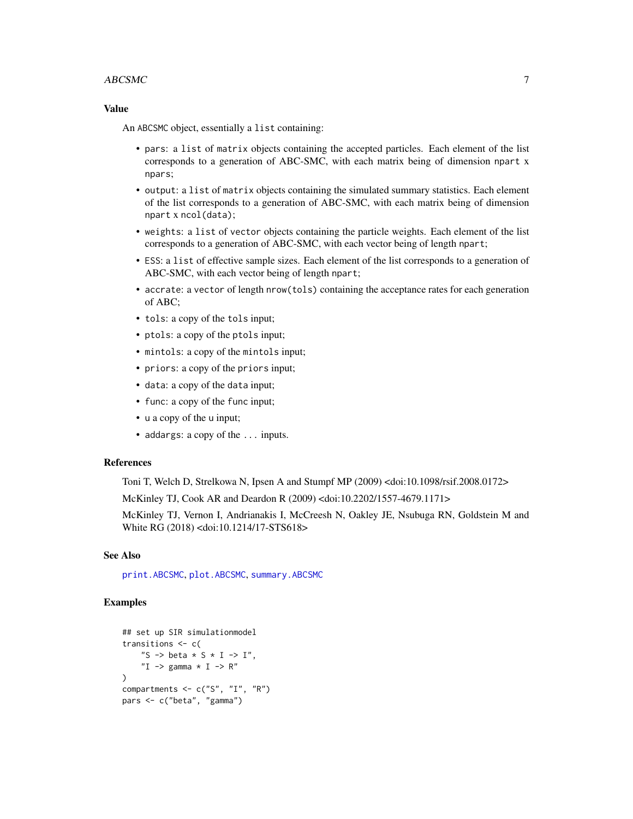#### <span id="page-6-0"></span> $\triangle$ BCSMC  $\triangle$  7

#### Value

An ABCSMC object, essentially a list containing:

- pars: a list of matrix objects containing the accepted particles. Each element of the list corresponds to a generation of ABC-SMC, with each matrix being of dimension npart x npars;
- output: a list of matrix objects containing the simulated summary statistics. Each element of the list corresponds to a generation of ABC-SMC, with each matrix being of dimension npart x ncol(data);
- weights: a list of vector objects containing the particle weights. Each element of the list corresponds to a generation of ABC-SMC, with each vector being of length npart;
- ESS: a list of effective sample sizes. Each element of the list corresponds to a generation of ABC-SMC, with each vector being of length npart;
- accrate: a vector of length nrow(tols) containing the acceptance rates for each generation of ABC;
- tols: a copy of the tols input;
- ptols: a copy of the ptols input;
- mintols: a copy of the mintols input;
- priors: a copy of the priors input;
- data: a copy of the data input;
- func: a copy of the func input;
- u a copy of the u input;
- addargs: a copy of the ... inputs.

#### References

Toni T, Welch D, Strelkowa N, Ipsen A and Stumpf MP (2009) <doi:10.1098/rsif.2008.0172>

McKinley TJ, Cook AR and Deardon R (2009) <doi:10.2202/1557-4679.1171>

McKinley TJ, Vernon I, Andrianakis I, McCreesh N, Oakley JE, Nsubuga RN, Goldstein M and White RG (2018) <doi:10.1214/17-STS618>

#### See Also

[print.ABCSMC](#page-25-1), [plot.ABCSMC](#page-12-1), [summary.ABCSMC](#page-34-1)

```
## set up SIR simulationmodel
transitions <- c(
    "S -> beta * S * I -> I",
    "I \rightarrow gamma \star I \rightarrow R"
\lambdacompartments <- c("S", "I", "R")
pars <- c("beta", "gamma")
```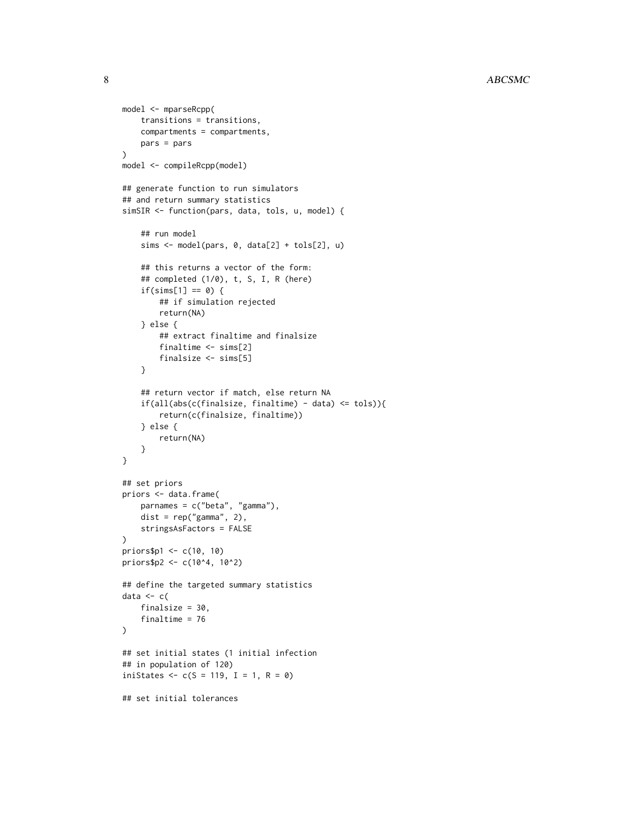```
model <- mparseRcpp(
    transitions = transitions,
    compartments = compartments,
    pars = pars
\mathcal{L}model <- compileRcpp(model)
## generate function to run simulators
## and return summary statistics
simSIR <- function(pars, data, tols, u, model) {
    ## run model
    sims <- model(pars, 0, data[2] + tols[2], u)
    ## this returns a vector of the form:
    ## completed (1/0), t, S, I, R (here)
    if(sims[1] == 0) {
        ## if simulation rejected
        return(NA)
    } else {
        ## extract finaltime and finalsize
        finaltime <- sims[2]
        finalsize <- sims[5]
    }
    ## return vector if match, else return NA
    if(all(abs(c(finalsize, final time) - data) \leq tols))return(c(finalsize, finaltime))
    } else {
        return(NA)
    }
}
## set priors
priors <- data.frame(
    parnames = c("beta", "gamma"),
    dist = rep("gamma", 2),stringsAsFactors = FALSE
\mathcal{L}priors$p1 <- c(10, 10)
priors$p2 <- c(10^4, 10^2)
## define the targeted summary statistics
data \leq c(
    finalsize = 30,
    finaltime = 76
\mathcal{L}## set initial states (1 initial infection
## in population of 120)
iniStates \leq c(S = 119, I = 1, R = 0)## set initial tolerances
```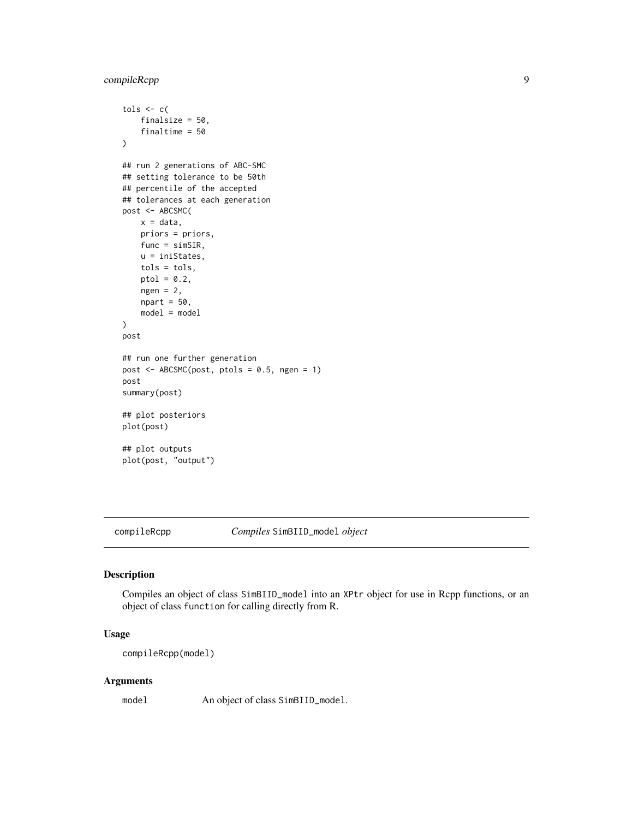```
tols \leq c (
    finalsize = 50,
    finaltime = 50
)
## run 2 generations of ABC-SMC
## setting tolerance to be 50th
## percentile of the accepted
## tolerances at each generation
post <- ABCSMC(
    x = data,priors = priors,
    func = simSIR,
    u = iniStates,
    tols = tols,
    ptol = 0.2,
    ngen = 2,npart = 50,
    model = model\mathcal{L}post
## run one further generation
post <- ABCSMC(post, ptols = 0.5, ngen = 1)
post
summary(post)
## plot posteriors
plot(post)
## plot outputs
plot(post, "output")
```
<span id="page-8-1"></span>

compileRcpp *Compiles* SimBIID\_model *object*

## Description

Compiles an object of class SimBIID\_model into an XPtr object for use in Rcpp functions, or an object of class function for calling directly from R.

### Usage

```
compileRcpp(model)
```
#### Arguments

model An object of class SimBIID\_model.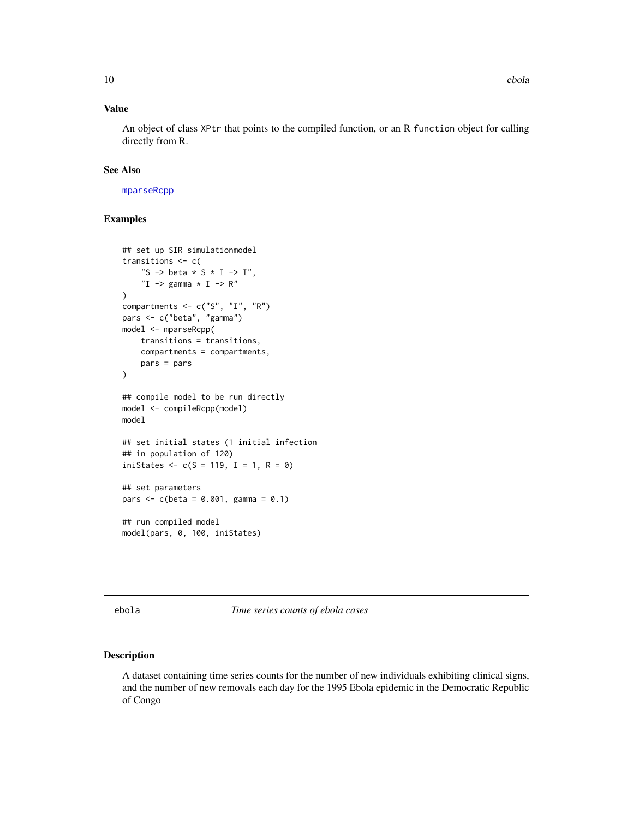## <span id="page-9-0"></span>Value

An object of class XPtr that points to the compiled function, or an R function object for calling directly from R.

#### See Also

[mparseRcpp](#page-10-1)

## Examples

```
## set up SIR simulationmodel
transitions <- c(
    "S -> beta * S * I -> I",
    "I \rightarrow gamma \star I \rightarrow R"
)
compartments <- c("S", "I", "R")
pars <- c("beta", "gamma")
model <- mparseRcpp(
    transitions = transitions,
    compartments = compartments,
    pars = pars
\mathcal{L}## compile model to be run directly
model <- compileRcpp(model)
model
## set initial states (1 initial infection
## in population of 120)
iniStates <-c(S = 119, I = 1, R = 0)## set parameters
pars <- c(beta = 0.001, gamma = 0.1)
## run compiled model
model(pars, 0, 100, iniStates)
```
ebola *Time series counts of ebola cases*

#### Description

A dataset containing time series counts for the number of new individuals exhibiting clinical signs, and the number of new removals each day for the 1995 Ebola epidemic in the Democratic Republic of Congo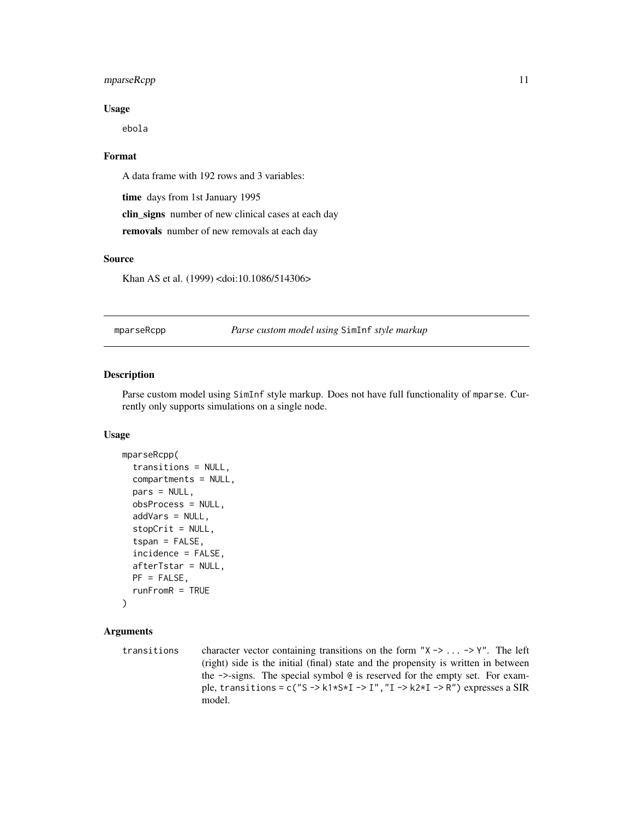## <span id="page-10-0"></span>mparseRcpp 11

## Usage

ebola

## Format

A data frame with 192 rows and 3 variables:

time days from 1st January 1995 clin\_signs number of new clinical cases at each day removals number of new removals at each day

#### Source

Khan AS et al. (1999) <doi:10.1086/514306>

<span id="page-10-1"></span>mparseRcpp *Parse custom model using* SimInf *style markup*

## Description

Parse custom model using SimInf style markup. Does not have full functionality of mparse. Currently only supports simulations on a single node.

#### Usage

```
mparseRcpp(
  transitions = NULL,
  compartments = NULL,
 pars = NULL,
  obsProcess = NULL,
  addVars = NULL,
  stopCrit = NULL,
  tspan = FALSE,incidence = FALSE,
  afterTstar = NULL,
 PF = FALSE,
  runFromR = TRUE
)
```
## Arguments

transitions character vector containing transitions on the form " $X \rightarrow \ldots \rightarrow Y$ ". The left (right) side is the initial (final) state and the propensity is written in between the ->-signs. The special symbol @ is reserved for the empty set. For example, transitions = c("S -> k1\*S\*I -> I","I -> k2\*I -> R") expresses a SIR model.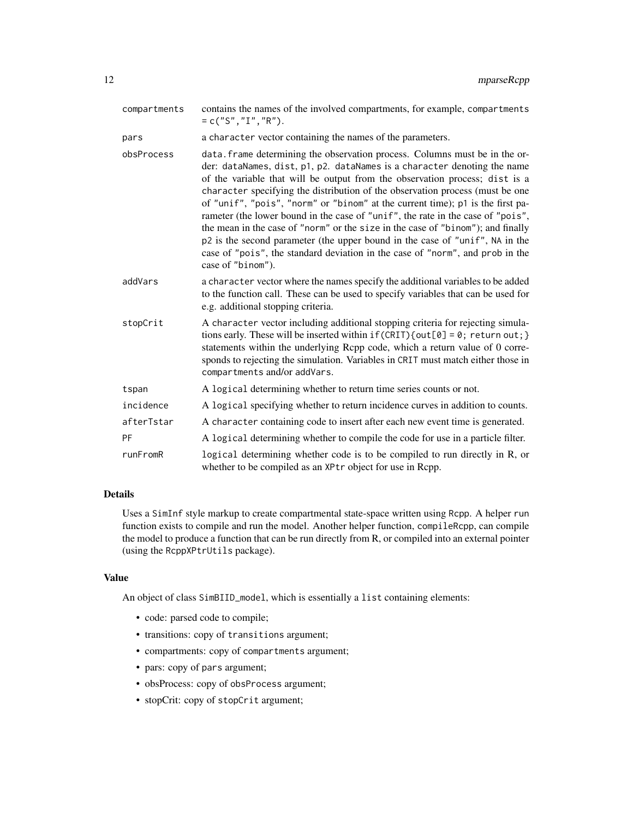| compartments | contains the names of the involved compartments, for example, compartments<br>$= c("S", "I", "R").$                                                                                                                                                                                                                                                                                                                                                                                                                                                                                                                                                                                                                                                                   |
|--------------|-----------------------------------------------------------------------------------------------------------------------------------------------------------------------------------------------------------------------------------------------------------------------------------------------------------------------------------------------------------------------------------------------------------------------------------------------------------------------------------------------------------------------------------------------------------------------------------------------------------------------------------------------------------------------------------------------------------------------------------------------------------------------|
| pars         | a character vector containing the names of the parameters.                                                                                                                                                                                                                                                                                                                                                                                                                                                                                                                                                                                                                                                                                                            |
| obsProcess   | data. frame determining the observation process. Columns must be in the or-<br>der: dataNames, dist, p1, p2. dataNames is a character denoting the name<br>of the variable that will be output from the observation process; dist is a<br>character specifying the distribution of the observation process (must be one<br>of "unif", "pois", "norm" or "binom" at the current time); p1 is the first pa-<br>rameter (the lower bound in the case of "unif", the rate in the case of "pois",<br>the mean in the case of "norm" or the size in the case of "binom"); and finally<br>p2 is the second parameter (the upper bound in the case of "unif", NA in the<br>case of "pois", the standard deviation in the case of "norm", and prob in the<br>case of "binom"). |
| addVars      | a character vector where the names specify the additional variables to be added<br>to the function call. These can be used to specify variables that can be used for<br>e.g. additional stopping criteria.                                                                                                                                                                                                                                                                                                                                                                                                                                                                                                                                                            |
| stopCrit     | A character vector including additional stopping criteria for rejecting simula-<br>tions early. These will be inserted within $if (CRIT) {out[0] = 0; return out; }$<br>statements within the underlying Rcpp code, which a return value of 0 corre-<br>sponds to rejecting the simulation. Variables in CRIT must match either those in<br>compartments and/or addVars.                                                                                                                                                                                                                                                                                                                                                                                              |
| tspan        | A logical determining whether to return time series counts or not.                                                                                                                                                                                                                                                                                                                                                                                                                                                                                                                                                                                                                                                                                                    |
| incidence    | A logical specifying whether to return incidence curves in addition to counts.                                                                                                                                                                                                                                                                                                                                                                                                                                                                                                                                                                                                                                                                                        |
| afterTstar   | A character containing code to insert after each new event time is generated.                                                                                                                                                                                                                                                                                                                                                                                                                                                                                                                                                                                                                                                                                         |
| PF           | A logical determining whether to compile the code for use in a particle filter.                                                                                                                                                                                                                                                                                                                                                                                                                                                                                                                                                                                                                                                                                       |
| runFromR     | logical determining whether code is to be compiled to run directly in R, or<br>whether to be compiled as an XPtr object for use in Rcpp.                                                                                                                                                                                                                                                                                                                                                                                                                                                                                                                                                                                                                              |

### Details

Uses a SimInf style markup to create compartmental state-space written using Rcpp. A helper run function exists to compile and run the model. Another helper function, compileRcpp, can compile the model to produce a function that can be run directly from R, or compiled into an external pointer (using the RcppXPtrUtils package).

#### Value

An object of class SimBIID\_model, which is essentially a list containing elements:

- code: parsed code to compile;
- transitions: copy of transitions argument;
- compartments: copy of compartments argument;
- pars: copy of pars argument;
- obsProcess: copy of obsProcess argument;
- stopCrit: copy of stopCrit argument;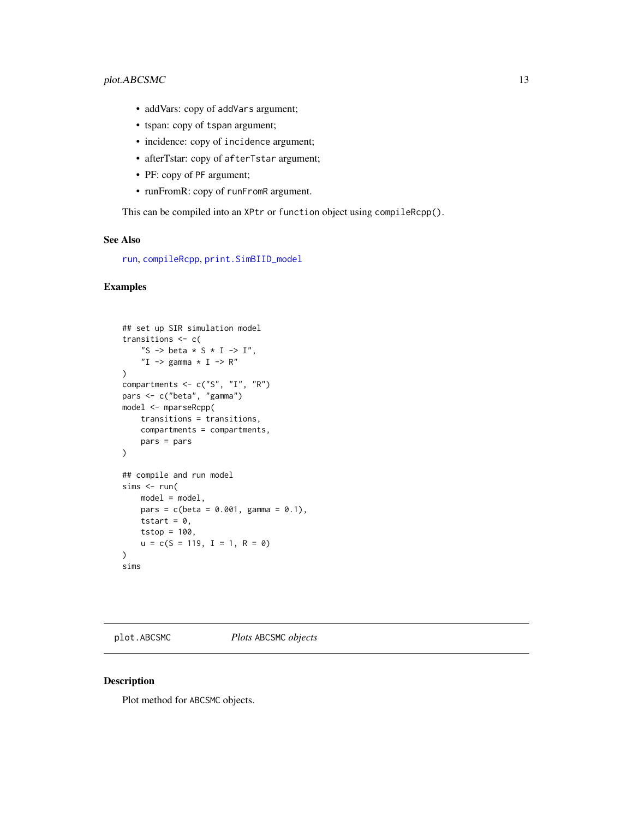- <span id="page-12-0"></span>• addVars: copy of addVars argument;
- tspan: copy of tspan argument;
- incidence: copy of incidence argument;
- afterTstar: copy of afterTstar argument;
- PF: copy of PF argument;
- runFromR: copy of runFromR argument.

This can be compiled into an XPtr or function object using compileRcpp().

## See Also

[run](#page-31-1), [compileRcpp](#page-8-1), [print.SimBIID\\_model](#page-29-1)

#### Examples

```
## set up SIR simulation model
transitions <- c(
    "S -> beta * S * I -> I",
    "I \rightharpoonup gamma * I -> R"
\lambdacompartments <- c("S", "I", "R")
pars <- c("beta", "gamma")
model <- mparseRcpp(
    transitions = transitions,
    compartments = compartments,
    pars = pars
\lambda## compile and run model
sims < - run(model = model,pars = c(beta = 0.001, gamma = 0.1),tstart = 0,
    tstop = 100,
    u = c(S = 119, I = 1, R = 0)\mathcal{L}sims
```
<span id="page-12-1"></span>plot.ABCSMC *Plots* ABCSMC *objects*

#### Description

Plot method for ABCSMC objects.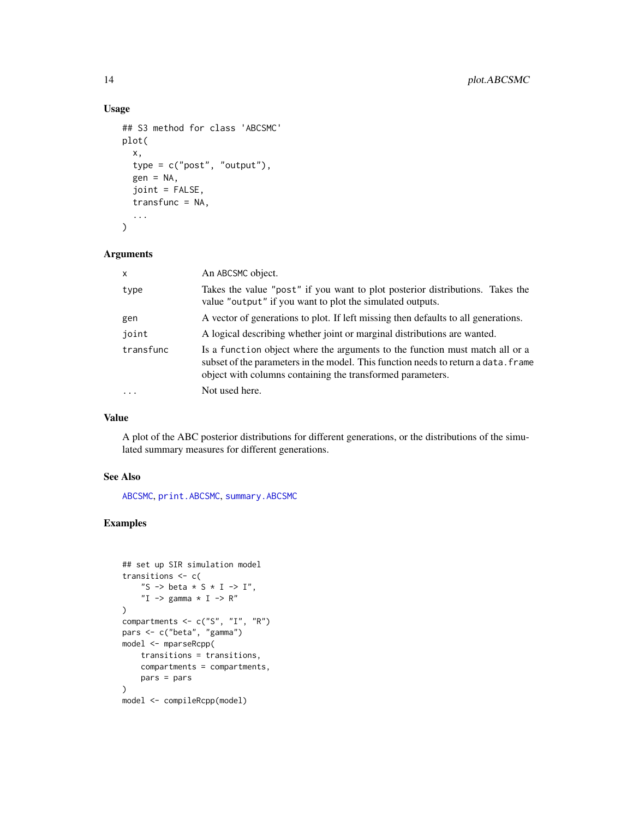## Usage

```
## S3 method for class 'ABCSMC'
plot(
  x,
  type = c("post", "output"),
  gen = NA,joint = FALSE,
  transfunc = NA,
  ...
\mathcal{L}
```
#### Arguments

| $\mathsf{x}$ | An ABCSMC object.                                                                                                                                                                                                                |  |
|--------------|----------------------------------------------------------------------------------------------------------------------------------------------------------------------------------------------------------------------------------|--|
| type         | Takes the value "post" if you want to plot posterior distributions. Takes the<br>value "output" if you want to plot the simulated outputs.                                                                                       |  |
| gen          | A vector of generations to plot. If left missing then defaults to all generations.                                                                                                                                               |  |
| joint        | A logical describing whether joint or marginal distributions are wanted.                                                                                                                                                         |  |
| transfunc    | Is a function object where the arguments to the function must match all or a<br>subset of the parameters in the model. This function needs to return a data. frame<br>object with columns containing the transformed parameters. |  |
| $\cdot$      | Not used here.                                                                                                                                                                                                                   |  |

#### Value

A plot of the ABC posterior distributions for different generations, or the distributions of the simulated summary measures for different generations.

## See Also

[ABCSMC](#page-4-1), [print.ABCSMC](#page-25-1), [summary.ABCSMC](#page-34-1)

```
## set up SIR simulation model
transitions <- c(
    "S -> beta * S * I -> I",
    "I \rightarrow gamma * I -> R"
\mathcal{L}compartments <- c("S", "I", "R")
pars <- c("beta", "gamma")
model <- mparseRcpp(
    transitions = transitions,
    compartments = compartments,
    pars = pars
)
model <- compileRcpp(model)
```
<span id="page-13-0"></span>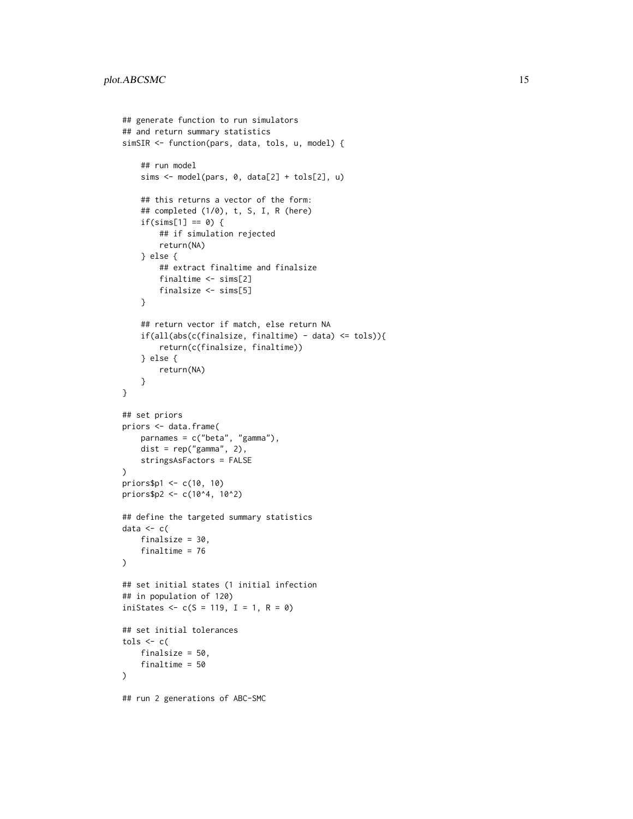```
## generate function to run simulators
## and return summary statistics
simSIR <- function(pars, data, tols, u, model) {
    ## run model
    sims <- model(pars, 0, data[2] + tols[2], u)
    ## this returns a vector of the form:
    ## completed (1/0), t, S, I, R (here)
    if(sims[1] == 0) {
        ## if simulation rejected
        return(NA)
    } else {
        ## extract finaltime and finalsize
        finaltime <- sims[2]
        finalsize <- sims[5]
    }
    ## return vector if match, else return NA
    if(all(abs(c(finalsize, finaltime) - data) \leq tols)){
        return(c(finalsize, finaltime))
    } else {
        return(NA)
    }
}
## set priors
priors <- data.frame(
   parnames = c("beta", "gamma"),
    dist = rep("gamma", 2),
   stringsAsFactors = FALSE
)
priors$p1 <- c(10, 10)
priors$p2 <- c(10^4, 10^2)
## define the targeted summary statistics
data <-c(finalsize = 30,
    finaltime = 76
\mathcal{L}## set initial states (1 initial infection
## in population of 120)
iniStates \leq c(S = 119, I = 1, R = 0)## set initial tolerances
tols \leq c (
    finalsize = 50,
    finaltime = 50
\mathcal{L}## run 2 generations of ABC-SMC
```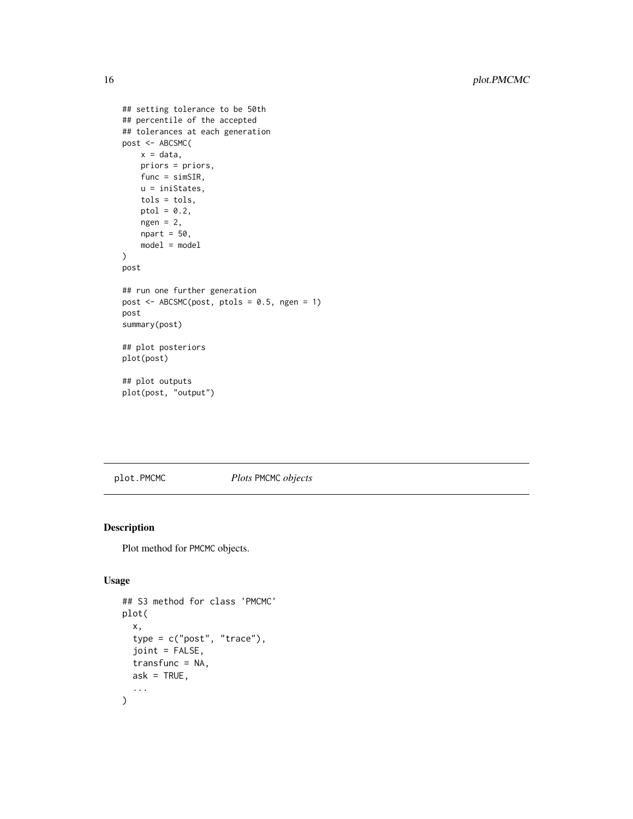```
## setting tolerance to be 50th
## percentile of the accepted
## tolerances at each generation
post <- ABCSMC(
   x = data,priors = priors,
   func = simSIR,
   u = iniStates,
   tols = tols,ptol = 0.2,
   ngen = 2,npart = 50,
   model = model
)
post
## run one further generation
post <- ABCSMC(post, ptols = 0.5, ngen = 1)
post
summary(post)
## plot posteriors
plot(post)
## plot outputs
plot(post, "output")
```
## <span id="page-15-1"></span>plot.PMCMC *Plots* PMCMC *objects*

#### Description

Plot method for PMCMC objects.

## Usage

```
## S3 method for class 'PMCMC'
plot(
  x,
  type = c("post", "trace"),
  joint = FALSE,
  transfunc = NA,
 ask = TRUE,...
)
```
<span id="page-15-0"></span>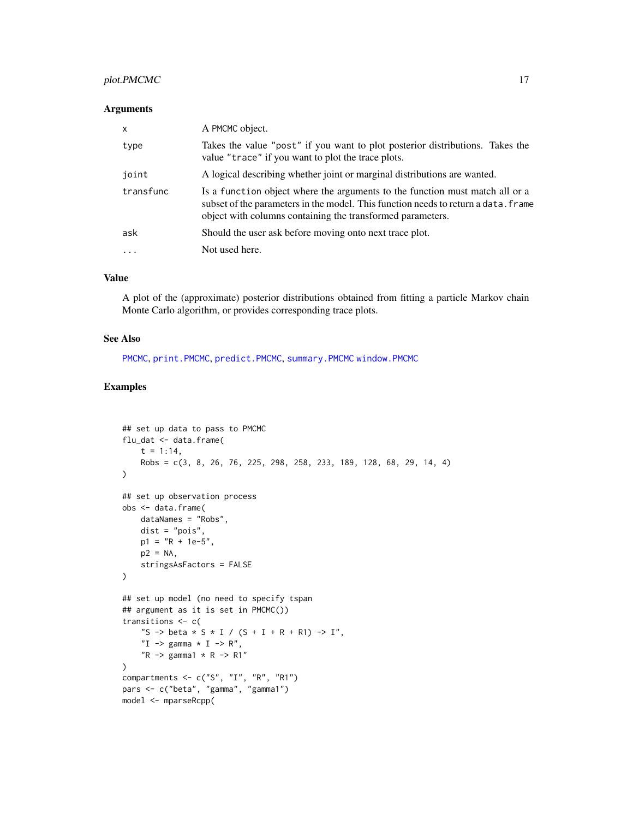#### <span id="page-16-0"></span>plot.PMCMC 17

#### Arguments

| X         | A PMCMC object.                                                                                                                                                                                                                  |  |
|-----------|----------------------------------------------------------------------------------------------------------------------------------------------------------------------------------------------------------------------------------|--|
| type      | Takes the value "post" if you want to plot posterior distributions. Takes the<br>value "trace" if you want to plot the trace plots.                                                                                              |  |
| joint     | A logical describing whether joint or marginal distributions are wanted.                                                                                                                                                         |  |
| transfunc | Is a function object where the arguments to the function must match all or a<br>subset of the parameters in the model. This function needs to return a data. Frame<br>object with columns containing the transformed parameters. |  |
| ask       | Should the user ask before moving onto next trace plot.                                                                                                                                                                          |  |
| $\cdots$  | Not used here.                                                                                                                                                                                                                   |  |

## Value

A plot of the (approximate) posterior distributions obtained from fitting a particle Markov chain Monte Carlo algorithm, or provides corresponding trace plots.

#### See Also

[PMCMC](#page-19-1), [print.PMCMC](#page-27-1), [predict.PMCMC](#page-23-1), [summary.PMCMC](#page-36-1) [window.PMCMC](#page-38-1)

```
## set up data to pass to PMCMC
flu_dat <- data.frame(
    t = 1:14,
    Robs = c(3, 8, 26, 76, 225, 298, 258, 233, 189, 128, 68, 29, 14, 4)
\lambda## set up observation process
obs <- data.frame(
    dataNames = "Robs",
    dist = "pois",
    p1 = "R + 1e-5",p2 = NA,
    stringsAsFactors = FALSE
\lambda## set up model (no need to specify tspan
## argument as it is set in PMCMC())
transitions <- c(
    "S -> beta * S * I / (S + I + R + R1) -> I",
    "I \rightarrow gamma * I \rightarrow R",
    "R \rightarrow \text{gamma1} * R \rightarrow R1"\mathcal{L}compartments \leq c("S", "I", "R", "R1")
pars <- c("beta", "gamma", "gamma1")
model <- mparseRcpp(
```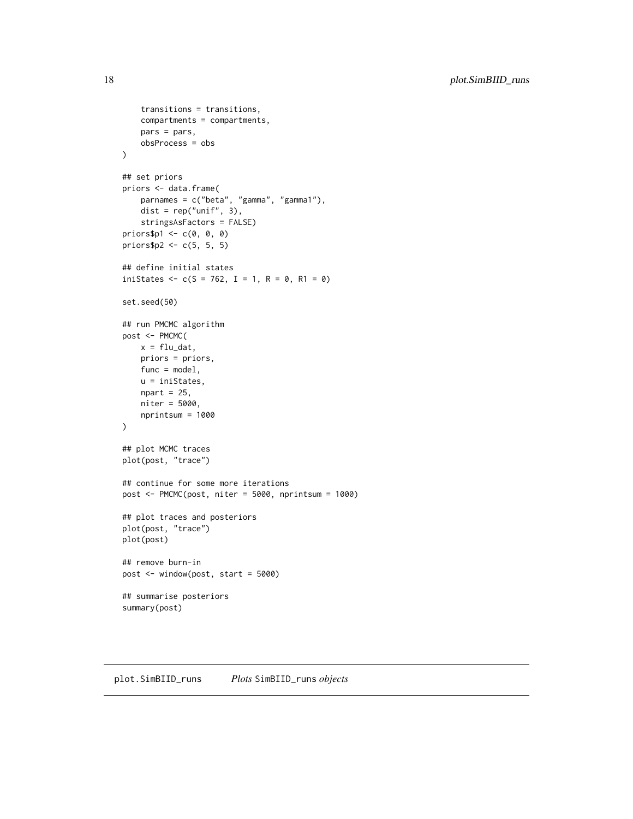```
transitions = transitions,
   compartments = compartments,
   pars = pars,
   obsProcess = obs
)
## set priors
priors <- data.frame(
   parnames = c("beta", "gamma", "gamma1"),
   dist = rep("unif", 3),
   stringsAsFactors = FALSE)
priors$p1 <- c(0, 0, 0)
priors$p2 <- c(5, 5, 5)
## define initial states
iniStates <- c(S = 762, I = 1, R = 0, R1 = 0)set.seed(50)
## run PMCMC algorithm
post <- PMCMC(
   x = flu_data,
   priors = priors,
   func = model,
   u = iniStates,
   npart = 25,
   niter = 5000,
   nprintsum = 1000
\mathcal{L}## plot MCMC traces
plot(post, "trace")
## continue for some more iterations
post <- PMCMC(post, niter = 5000, nprintsum = 1000)
## plot traces and posteriors
plot(post, "trace")
plot(post)
## remove burn-in
post <- window(post, start = 5000)
## summarise posteriors
summary(post)
```
<span id="page-17-1"></span>plot.SimBIID\_runs *Plots* SimBIID\_runs *objects*

<span id="page-17-0"></span>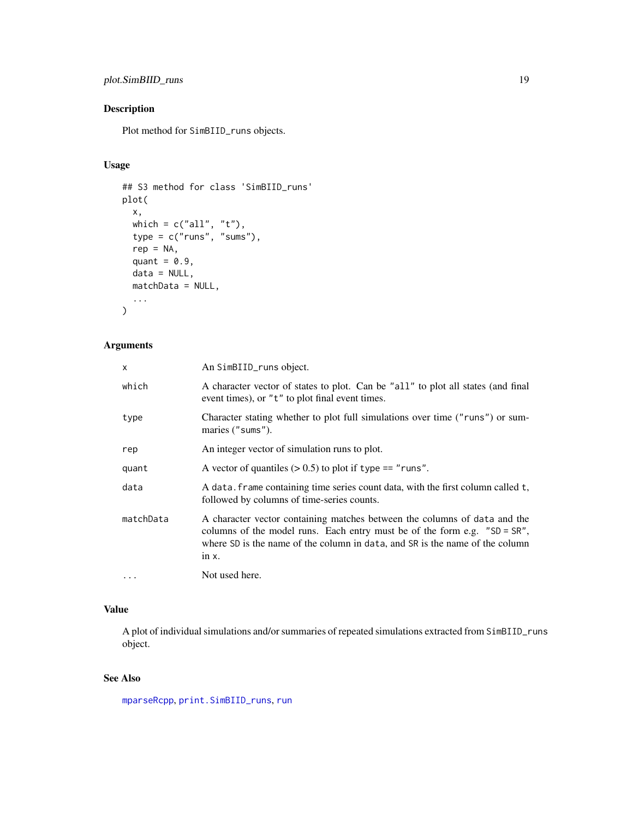## <span id="page-18-0"></span>plot.SimBIID\_runs 19

## Description

Plot method for SimBIID\_runs objects.

## Usage

```
## S3 method for class 'SimBIID_runs'
plot(
  x,
 which = c("all", "t"),type = c("runs", "sums"),rep = NA,
  quant = 0.9,
 data = NULL,matchData = NULL,
  ...
)
```
## Arguments

| x         | An SimBIID_runs object.                                                                                                                                                                                                                              |
|-----------|------------------------------------------------------------------------------------------------------------------------------------------------------------------------------------------------------------------------------------------------------|
| which     | A character vector of states to plot. Can be "all" to plot all states (and final<br>event times), or "t" to plot final event times.                                                                                                                  |
| type      | Character stating whether to plot full simulations over time ("runs") or sum-<br>maries ("sums").                                                                                                                                                    |
| rep       | An integer vector of simulation runs to plot.                                                                                                                                                                                                        |
| quant     | A vector of quantiles $(> 0.5)$ to plot if type == "runs".                                                                                                                                                                                           |
| data      | A data. frame containing time series count data, with the first column called t,<br>followed by columns of time-series counts.                                                                                                                       |
| matchData | A character vector containing matches between the columns of data and the<br>columns of the model runs. Each entry must be of the form e.g. $"SD = SR",$<br>where SD is the name of the column in data, and SR is the name of the column<br>in $x$ . |
| $\cdots$  | Not used here.                                                                                                                                                                                                                                       |

## Value

A plot of individual simulations and/or summaries of repeated simulations extracted from SimBIID\_runs object.

## See Also

[mparseRcpp](#page-10-1), [print.SimBIID\\_runs](#page-30-1), [run](#page-31-1)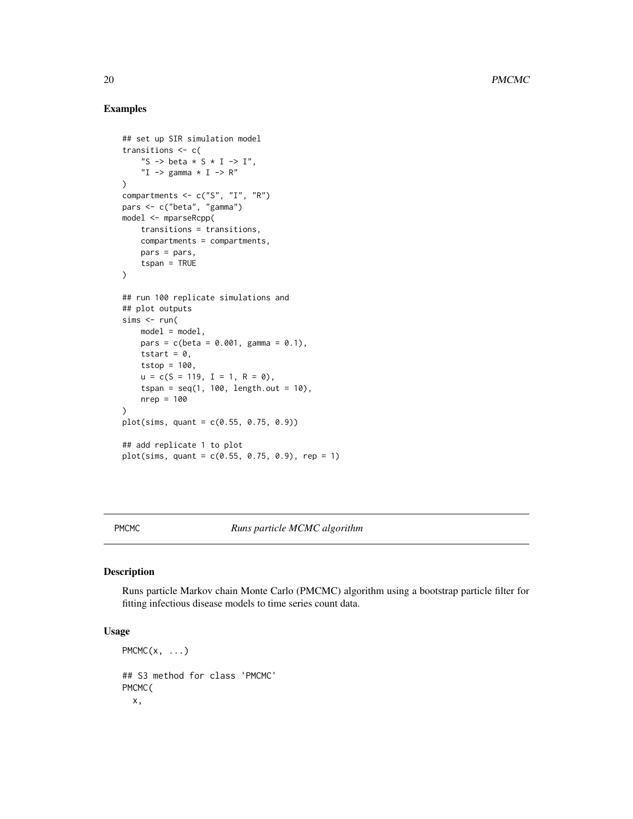#### Examples

```
## set up SIR simulation model
transitions <- c(
    "S -> beta * S * I -> I",
    "I \rightarrow gamma * I \rightarrow R"
\mathcal{L}compartments <- c("S", "I", "R")
pars <- c("beta", "gamma")
model <- mparseRcpp(
    transitions = transitions,
    compartments = compartments,
    pars = pars,
    tspan = TRUE
\lambda## run 100 replicate simulations and
## plot outputs
sims < - run(model = model,pars = c(beta = 0.001, gamma = 0.1),tstart = 0,
    tstop = 100,
    u = c(S = 119, I = 1, R = 0),
    tspan = seq(1, 100, length.out = 10),
    nrep = 100)
plot(sims, quant = c(0.55, 0.75, 0.9))## add replicate 1 to plot
plot(sims, quant = c(0.55, 0.75, 0.9), rep = 1)
```
<span id="page-19-1"></span>PMCMC *Runs particle MCMC algorithm*

## Description

Runs particle Markov chain Monte Carlo (PMCMC) algorithm using a bootstrap particle filter for fitting infectious disease models to time series count data.

## Usage

```
PMCMC(x, \ldots)## S3 method for class 'PMCMC'
PMCMC(
  x,
```
<span id="page-19-0"></span>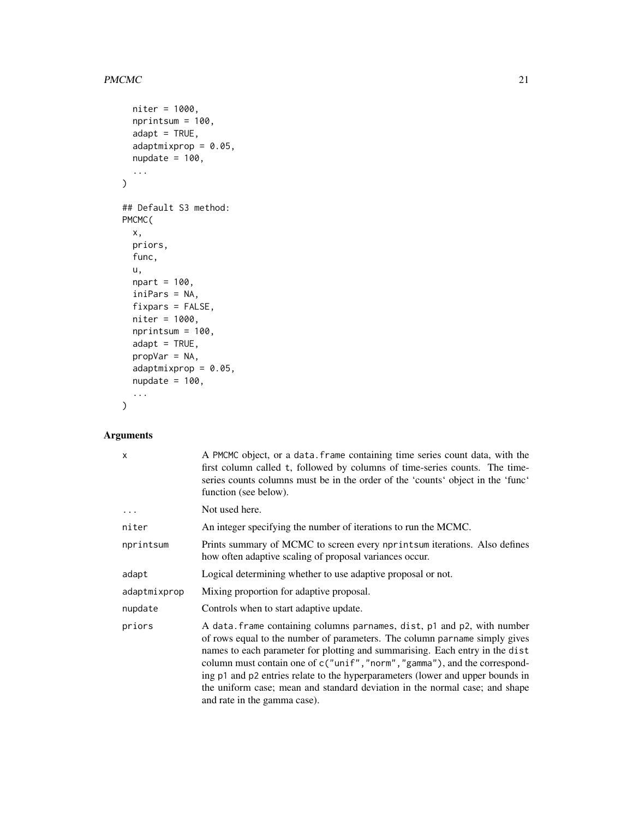#### $PMCMC$  21

```
niter = 1000,
 nprintsum = 100,
 adapt = TRUE,adaptmixprop = 0.05,nupdate = 100,
  ...
\mathcal{L}## Default S3 method:
PMCMC(
 x,
 priors,
 func,
 u,
 npart = 100,
  iniPars = NA,
 fixpars = FALSE,
 niter = 1000,
 nprintsum = 100,
 adapt = TRUE,
 propVar = NA,
 adaptmixprop = 0.05,
 nupdate = 100,...
\mathcal{L}
```
## Arguments

| X            | A PMCMC object, or a data. frame containing time series count data, with the<br>first column called t, followed by columns of time-series counts. The time-<br>series counts columns must be in the order of the 'counts' object in the 'func'<br>function (see below).                                                                                                                                                                                                                                            |
|--------------|--------------------------------------------------------------------------------------------------------------------------------------------------------------------------------------------------------------------------------------------------------------------------------------------------------------------------------------------------------------------------------------------------------------------------------------------------------------------------------------------------------------------|
| $\ddots$     | Not used here.                                                                                                                                                                                                                                                                                                                                                                                                                                                                                                     |
| niter        | An integer specifying the number of iterations to run the MCMC.                                                                                                                                                                                                                                                                                                                                                                                                                                                    |
| nprintsum    | Prints summary of MCMC to screen every nprintsum iterations. Also defines<br>how often adaptive scaling of proposal variances occur.                                                                                                                                                                                                                                                                                                                                                                               |
| adapt        | Logical determining whether to use adaptive proposal or not.                                                                                                                                                                                                                                                                                                                                                                                                                                                       |
| adaptmixprop | Mixing proportion for adaptive proposal.                                                                                                                                                                                                                                                                                                                                                                                                                                                                           |
| nupdate      | Controls when to start adaptive update.                                                                                                                                                                                                                                                                                                                                                                                                                                                                            |
| priors       | A data. frame containing columns parnames, dist, p1 and p2, with number<br>of rows equal to the number of parameters. The column parname simply gives<br>names to each parameter for plotting and summarising. Each entry in the dist<br>column must contain one of c("unif","norm","gamma"), and the correspond-<br>ing p1 and p2 entries relate to the hyperparameters (lower and upper bounds in<br>the uniform case; mean and standard deviation in the normal case; and shape<br>and rate in the gamma case). |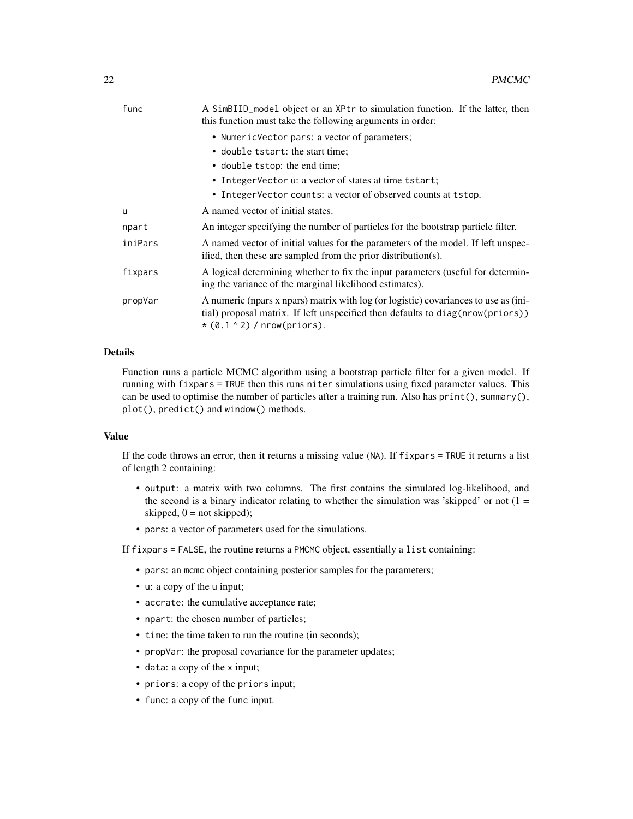| func    | A SimBIID_model object or an XPtr to simulation function. If the latter, then<br>this function must take the following arguments in order:                                                                 |  |
|---------|------------------------------------------------------------------------------------------------------------------------------------------------------------------------------------------------------------|--|
|         | • NumericVector pars: a vector of parameters;                                                                                                                                                              |  |
|         | • double tstart: the start time;                                                                                                                                                                           |  |
|         | • double tstop: the end time;                                                                                                                                                                              |  |
|         | • IntegerVector u: a vector of states at time tstart;                                                                                                                                                      |  |
|         | • IntegerVector counts: a vector of observed counts at tstop.                                                                                                                                              |  |
| u       | A named vector of initial states.                                                                                                                                                                          |  |
| npart   | An integer specifying the number of particles for the bootstrap particle filter.                                                                                                                           |  |
| iniPars | A named vector of initial values for the parameters of the model. If left unspec-<br>ified, then these are sampled from the prior distribution(s).                                                         |  |
| fixpars | A logical determining whether to fix the input parameters (useful for determin-<br>ing the variance of the marginal likelihood estimates).                                                                 |  |
| propVar | A numeric (npars x npars) matrix with log (or logistic) covariances to use as (ini-<br>(tial) proposal matrix. If left unspecified then defaults to diag(nrow(priors))<br>$*(0.1 \land 2)$ / nrow(priors). |  |

## Details

Function runs a particle MCMC algorithm using a bootstrap particle filter for a given model. If running with fixpars = TRUE then this runs niter simulations using fixed parameter values. This can be used to optimise the number of particles after a training run. Also has print(), summary(), plot(), predict() and window() methods.

#### Value

If the code throws an error, then it returns a missing value (NA). If fixpars = TRUE it returns a list of length 2 containing:

- output: a matrix with two columns. The first contains the simulated log-likelihood, and the second is a binary indicator relating to whether the simulation was 'skipped' or not  $(1 =$ skipped,  $0 = not$  skipped);
- pars: a vector of parameters used for the simulations.

If fixpars = FALSE, the routine returns a PMCMC object, essentially a list containing:

- pars: an mcmc object containing posterior samples for the parameters;
- u: a copy of the u input;
- accrate: the cumulative acceptance rate;
- npart: the chosen number of particles;
- time: the time taken to run the routine (in seconds);
- propVar: the proposal covariance for the parameter updates;
- data: a copy of the x input;
- priors: a copy of the priors input;
- func: a copy of the func input.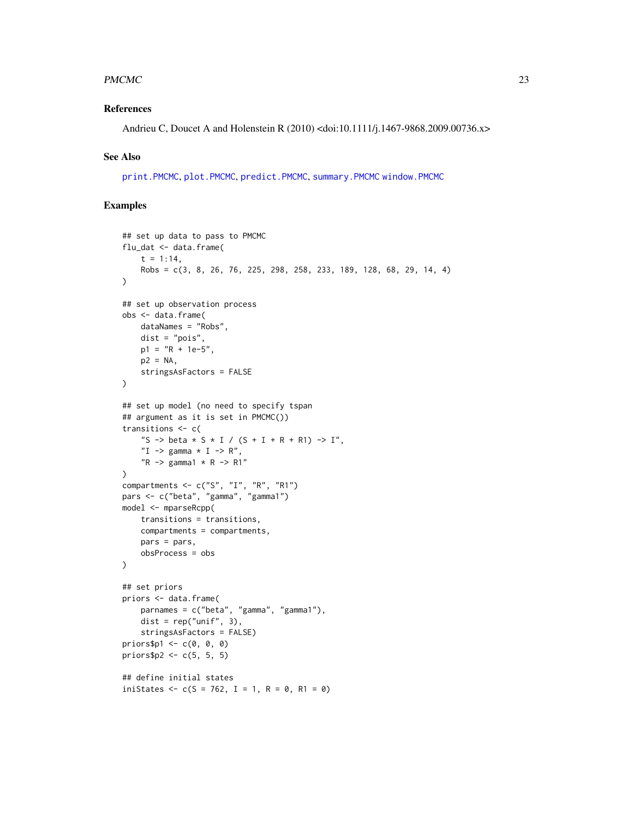#### <span id="page-22-0"></span> $PMCMC$  23

#### References

Andrieu C, Doucet A and Holenstein R (2010) <doi:10.1111/j.1467-9868.2009.00736.x>

#### See Also

[print.PMCMC](#page-27-1), [plot.PMCMC](#page-15-1), [predict.PMCMC](#page-23-1), [summary.PMCMC](#page-36-1) [window.PMCMC](#page-38-1)

```
## set up data to pass to PMCMC
flu_dat <- data.frame(
    t = 1:14,
    Robs = c(3, 8, 26, 76, 225, 298, 258, 233, 189, 128, 68, 29, 14, 4)
\lambda## set up observation process
obs <- data.frame(
    dataNames = "Robs",
    dist = "pois",
    p1 = "R + 1e-5"p2 = NA,
    stringsAsFactors = FALSE
)
## set up model (no need to specify tspan
## argument as it is set in PMCMC())
transitions <- c(
    "S -> beta * S * I / (S + I + R + R1) -> I",
    "I \rightarrow gamma * I \rightarrow R",
    "R \rightarrow \text{gamma1} * R \rightarrow R1")
compartments <- c("S", "I", "R", "R1")
pars <- c("beta", "gamma", "gamma1")
model <- mparseRcpp(
    transitions = transitions,
    compartments = compartments,
    pars = pars,
    obsProcess = obs
\lambda## set priors
priors <- data.frame(
    parnames = c("beta", "gamma", "gamma1"),
    dist = rep("unif", 3),stringsAsFactors = FALSE)
priors$p1 <- c(0, 0, 0)
priors$p2 <- c(5, 5, 5)
## define initial states
iniStates <- c(S = 762, I = 1, R = 0, R1 = 0)
```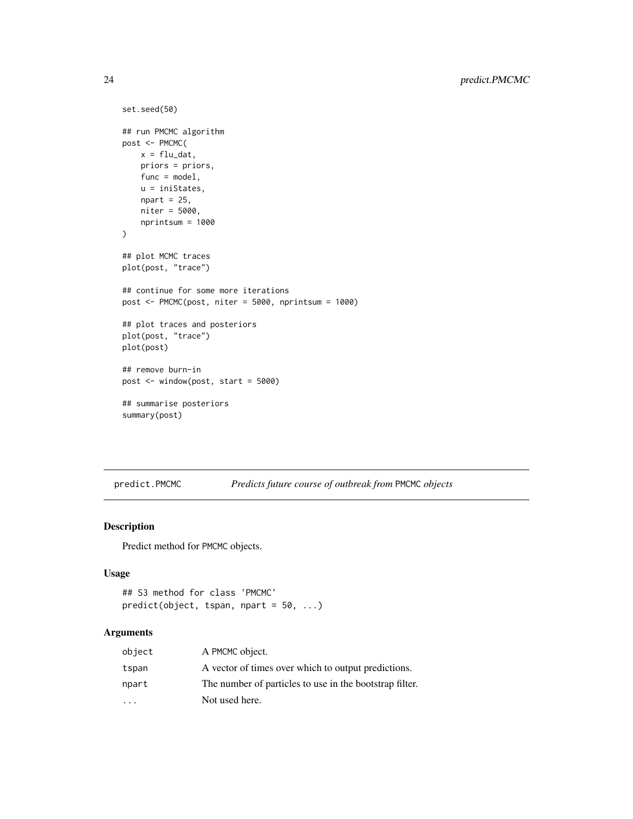```
set.seed(50)
## run PMCMC algorithm
post <- PMCMC(
    x = flu_data,priors = priors,
    func = model,
    u = iniStates,
    npart = 25,
    niter = 5000,
    nprintsum = 1000
\mathcal{L}## plot MCMC traces
plot(post, "trace")
## continue for some more iterations
post <- PMCMC(post, niter = 5000, nprintsum = 1000)
## plot traces and posteriors
plot(post, "trace")
plot(post)
## remove burn-in
post <- window(post, start = 5000)
## summarise posteriors
summary(post)
```
<span id="page-23-1"></span>predict.PMCMC *Predicts future course of outbreak from* PMCMC *objects*

#### Description

Predict method for PMCMC objects.

#### Usage

```
## S3 method for class 'PMCMC'
predict(object, tspan, npart = 50, ...)
```
## Arguments

| object    | A PMCMC object.                                         |
|-----------|---------------------------------------------------------|
| tspan     | A vector of times over which to output predictions.     |
| npart     | The number of particles to use in the bootstrap filter. |
| $\ddotsc$ | Not used here.                                          |

<span id="page-23-0"></span>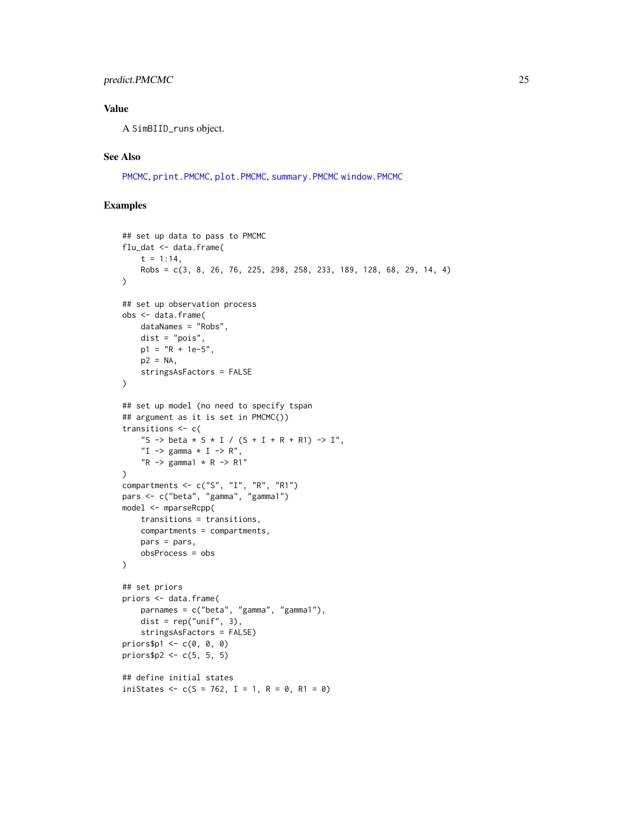## <span id="page-24-0"></span>predict.PMCMC 25

## Value

A SimBIID\_runs object.

## See Also

[PMCMC](#page-19-1), [print.PMCMC](#page-27-1), [plot.PMCMC](#page-15-1), [summary.PMCMC](#page-36-1) [window.PMCMC](#page-38-1)

```
## set up data to pass to PMCMC
flu_dat <- data.frame(
    t = 1:14,
    Robs = c(3, 8, 26, 76, 225, 298, 258, 233, 189, 128, 68, 29, 14, 4)
\lambda## set up observation process
obs <- data.frame(
    dataNames = "Robs",
    dist = "pois",
    p1 = "R + 1e-5"p2 = NA,
    stringsAsFactors = FALSE
)
## set up model (no need to specify tspan
## argument as it is set in PMCMC())
transitions <- c(
    "S -> beta * S * I / (S + I + R + R1) -> I",
    "I \rightarrow gamma * I \rightarrow R",
    "R \rightarrow \text{gamma1} * R \rightarrow R1"\lambda\overline{\text{comparments}} <- c("S", "I", "R", "R1")
pars <- c("beta", "gamma", "gamma1")
model <- mparseRcpp(
    transitions = transitions,
    compartments = compartments,
    pars = pars,
    obsProcess = obs
\lambda## set priors
priors <- data.frame(
    parnames = c("beta", "gamma", "gamma1"),
    dist = rep("unif", 3),stringsAsFactors = FALSE)
priors$p1 <- c(0, 0, 0)
priors$p2 <- c(5, 5, 5)
## define initial states
iniStates <- c(S = 762, I = 1, R = 0, R1 = 0)
```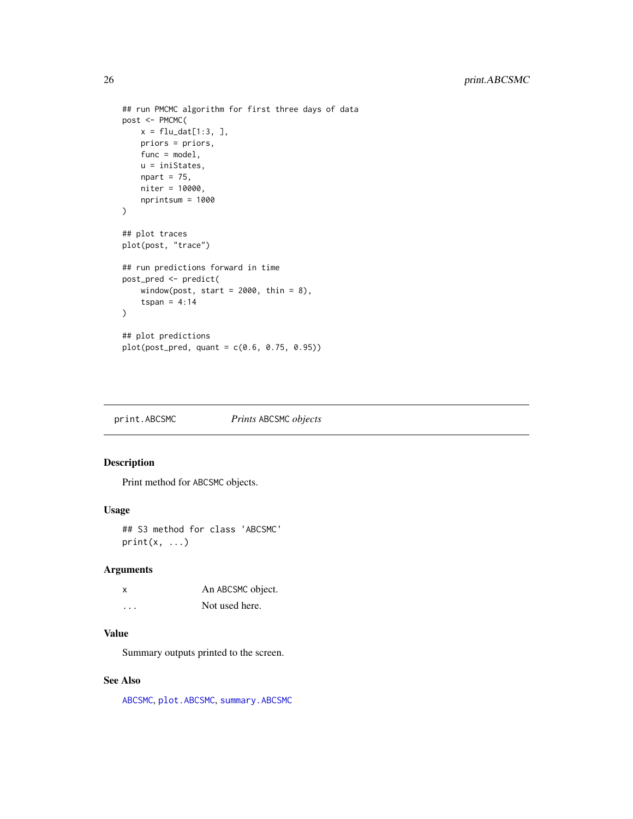```
## run PMCMC algorithm for first three days of data
post <- PMCMC(
   x = flu_data[1:3, ],
    priors = priors,
    func = model,
    u = iniStates,
    npart = 75,
    niter = 10000,
    nprintsum = 1000
\mathcal{L}## plot traces
plot(post, "trace")
## run predictions forward in time
post_pred <- predict(
    window(post, start = 2000, thin = 8),
    tspan = 4:14)
## plot predictions
plot(post_pred, quant = c(0.6, 0.75, 0.95))
```
<span id="page-25-1"></span>print.ABCSMC *Prints* ABCSMC *objects*

## Description

Print method for ABCSMC objects.

#### Usage

```
## S3 method for class 'ABCSMC'
print(x, \ldots)
```
## Arguments

| x | An ABCSMC object. |
|---|-------------------|
| . | Not used here.    |

#### Value

Summary outputs printed to the screen.

## See Also

[ABCSMC](#page-4-1), [plot.ABCSMC](#page-12-1), [summary.ABCSMC](#page-34-1)

<span id="page-25-0"></span>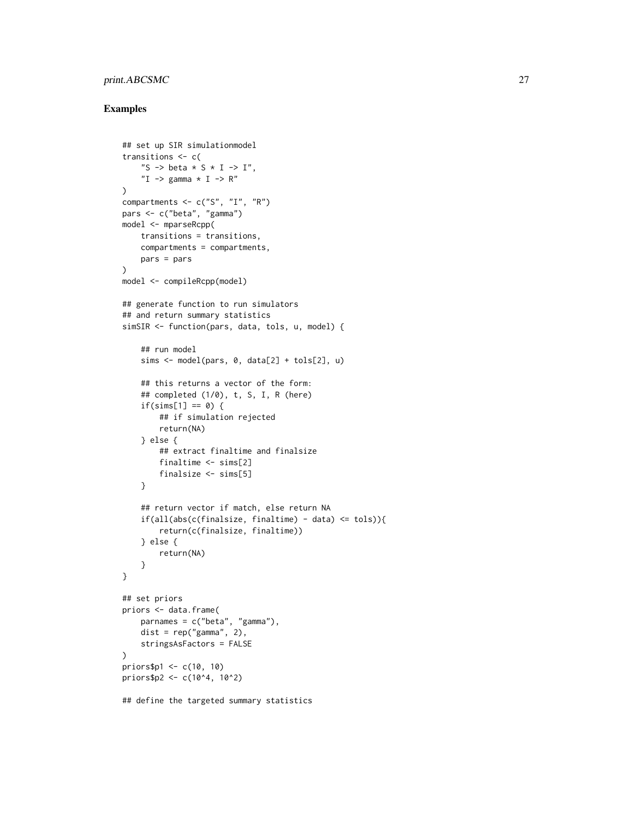## print.ABCSMC 27

```
## set up SIR simulationmodel
transitions <- c(
    "S -> beta * S * I -> I",
    "I \rightarrow gamma * I \rightarrow R"
)
compartments \leq c("S", "I", "R")
pars <- c("beta", "gamma")
model <- mparseRcpp(
    transitions = transitions,
    compartments = compartments,
    pars = pars
)
model <- compileRcpp(model)
## generate function to run simulators
## and return summary statistics
simSIR <- function(pars, data, tols, u, model) {
    ## run model
    sims <- model(pars, 0, data[2] + tols[2], u)
    ## this returns a vector of the form:
    ## completed (1/0), t, S, I, R (here)
    if(sims[1] == 0) {
        ## if simulation rejected
        return(NA)
    } else {
        ## extract finaltime and finalsize
        finaltime <- sims[2]
        finalsize <- sims[5]
    }
    ## return vector if match, else return NA
    if(all(abs(c(finalsize, finaltime) - data) <= tols)){
        return(c(finalsize, finaltime))
    } else {
        return(NA)
    }
}
## set priors
priors <- data.frame(
    parnames = c("beta", "gamma"),
    dist = rep("gamma", 2),stringsAsFactors = FALSE
\mathcal{L}priors$p1 <- c(10, 10)
priors$p2 <- c(10^4, 10^2)
## define the targeted summary statistics
```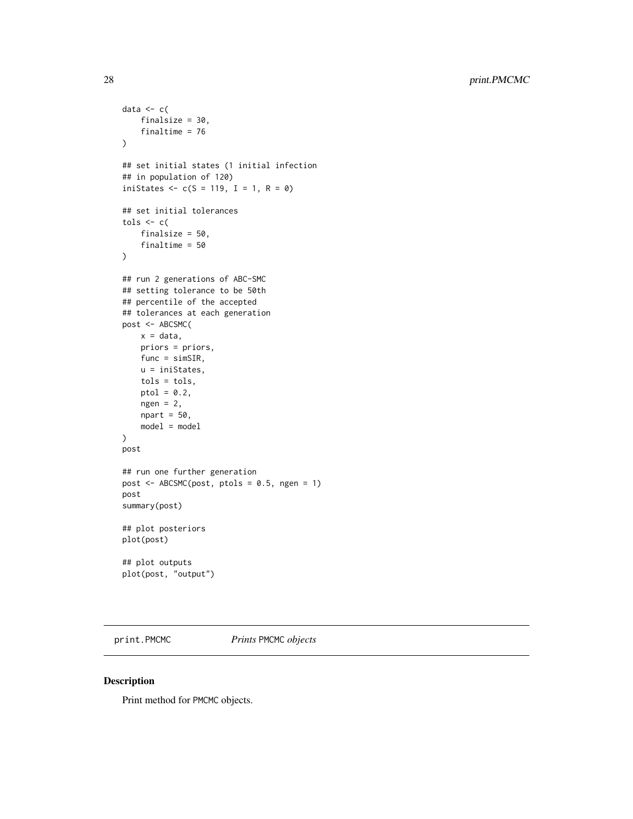```
data <-c(finalsize = 30,
   finaltime = 76
\lambda## set initial states (1 initial infection
## in population of 120)
iniStates \leq c(S = 119, I = 1, R = 0)## set initial tolerances
tols \leq c (
   finalsize = 50,
    finaltime = 50
)
## run 2 generations of ABC-SMC
## setting tolerance to be 50th
## percentile of the accepted
## tolerances at each generation
post <- ABCSMC(
   x = data,priors = priors,
   func = simSIR,
   u = iniStates,
   tols = tols,
   ptol = 0.2,
   ngen = 2,npart = 50,
   model = model
)
post
## run one further generation
post <- ABCSMC(post, ptols = 0.5, ngen = 1)
post
summary(post)
## plot posteriors
plot(post)
## plot outputs
plot(post, "output")
```
<span id="page-27-1"></span>print.PMCMC *Prints* PMCMC *objects*

## Description

Print method for PMCMC objects.

<span id="page-27-0"></span>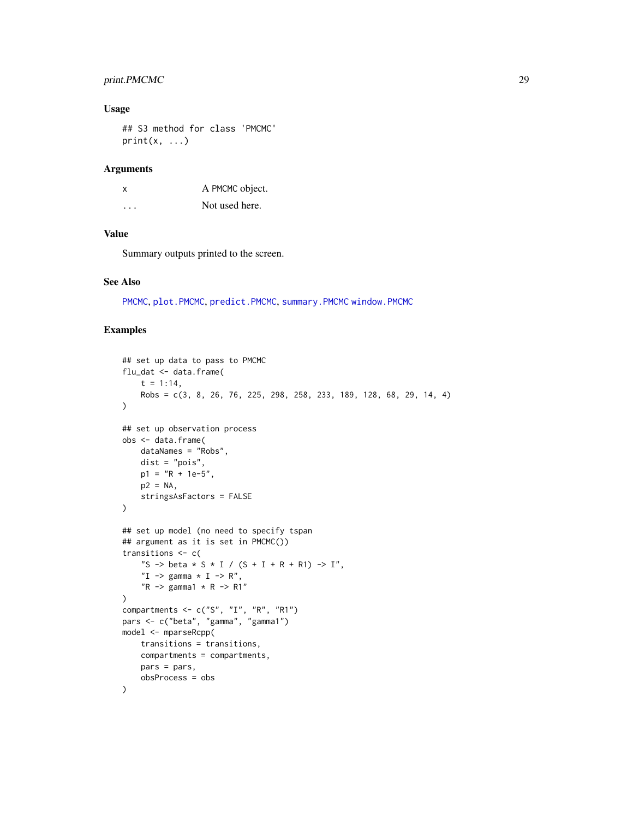## <span id="page-28-0"></span>print.PMCMC 29

## Usage

```
## S3 method for class 'PMCMC'
print(x, \ldots)
```
#### Arguments

| x                       | A PMCMC object. |
|-------------------------|-----------------|
| $\cdot$ $\cdot$ $\cdot$ | Not used here.  |

## Value

Summary outputs printed to the screen.

## See Also

[PMCMC](#page-19-1), [plot.PMCMC](#page-15-1), [predict.PMCMC](#page-23-1), [summary.PMCMC](#page-36-1) [window.PMCMC](#page-38-1)

```
## set up data to pass to PMCMC
flu_dat <- data.frame(
    t = 1:14,
    Robs = c(3, 8, 26, 76, 225, 298, 258, 233, 189, 128, 68, 29, 14, 4)
)
## set up observation process
obs <- data.frame(
    dataNames = "Robs",
    dist = "pois",
    p1 = "R + 1e-5",p2 = NA,
    stringsAsFactors = FALSE
\mathcal{L}## set up model (no need to specify tspan
## argument as it is set in PMCMC())
transitions <- c(
    "S -> beta * S * I / (S + I + R + R1) -> I",
    "I \rightarrow gamma \star I \rightarrow R",
    "R \rightarrow gamma1 \star R \rightarrow R1"
\mathcal{L}compartments <- c("S", "I", "R", "R1")
pars <- c("beta", "gamma", "gamma1")
model <- mparseRcpp(
    transitions = transitions,
    compartments = compartments,
    pars = pars,
    obsProcess = obs
\mathcal{L}
```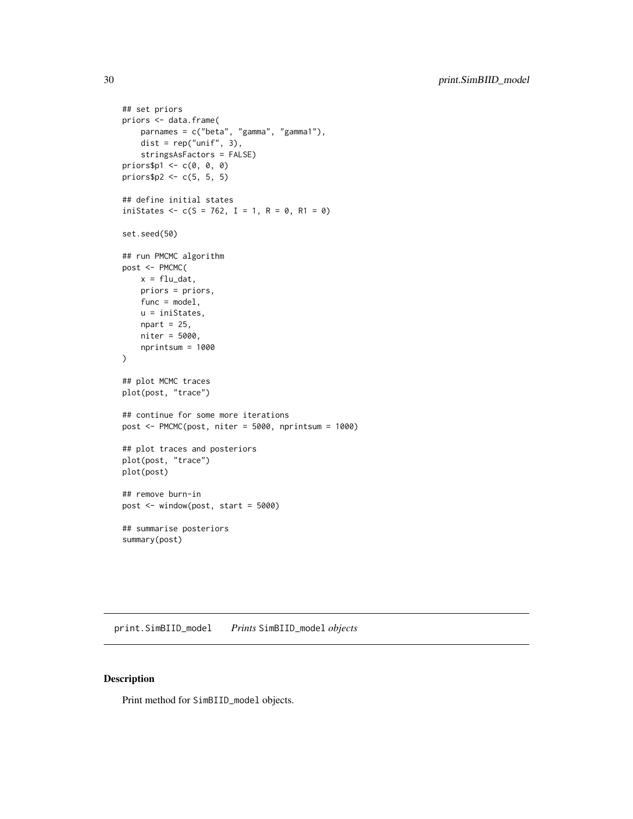```
## set priors
priors <- data.frame(
   parnames = c("beta", "gamma", "gamma1"),
   dist = rep("unif", 3),
   stringsAsFactors = FALSE)
priors$p1 \leq c(0, 0, 0)
priors$p2 <- c(5, 5, 5)
## define initial states
iniStates <- c(S = 762, I = 1, R = 0, R1 = 0)set.seed(50)
## run PMCMC algorithm
post <- PMCMC(
   x = flu_data,priors = priors,
   func = model,
   u = iniStates,
   npart = 25,
   niter = 5000,
   nprintsum = 1000
\lambda## plot MCMC traces
plot(post, "trace")
## continue for some more iterations
post <- PMCMC(post, niter = 5000, nprintsum = 1000)
## plot traces and posteriors
plot(post, "trace")
plot(post)
## remove burn-in
post <- window(post, start = 5000)
## summarise posteriors
```
<span id="page-29-1"></span>print.SimBIID\_model *Prints* SimBIID\_model *objects*

#### Description

summary(post)

Print method for SimBIID\_model objects.

<span id="page-29-0"></span>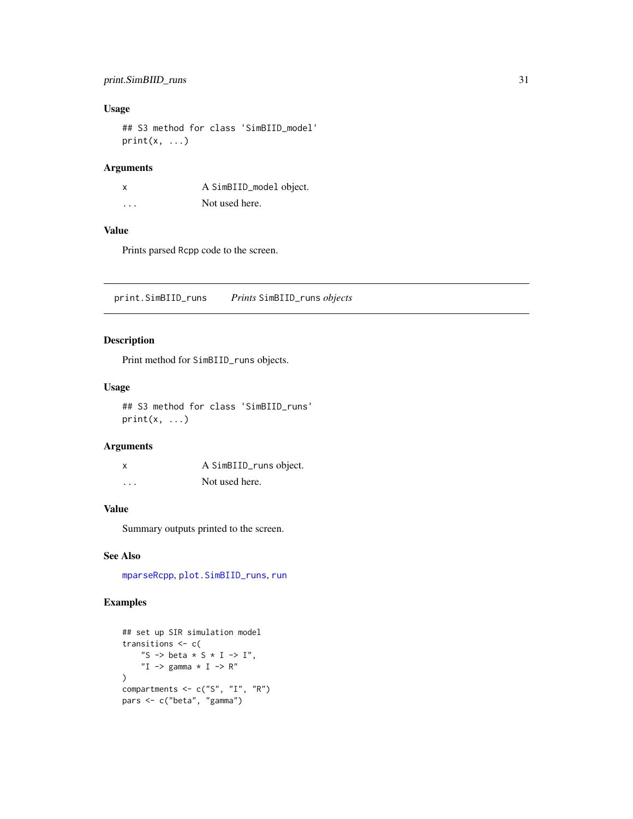## <span id="page-30-0"></span>print.SimBIID\_runs 31

## Usage

## S3 method for class 'SimBIID\_model'  $print(x, \ldots)$ 

## Arguments

|          | A SimBIID_model object. |
|----------|-------------------------|
| $\cdots$ | Not used here.          |

#### Value

Prints parsed Rcpp code to the screen.

<span id="page-30-1"></span>print.SimBIID\_runs *Prints* SimBIID\_runs *objects*

## Description

Print method for SimBIID\_runs objects.

#### Usage

## S3 method for class 'SimBIID\_runs'  $print(x, \ldots)$ 

#### Arguments

| X | A SimBIID_runs object. |
|---|------------------------|
| . | Not used here.         |

## Value

Summary outputs printed to the screen.

#### See Also

[mparseRcpp](#page-10-1), [plot.SimBIID\\_runs](#page-17-1), [run](#page-31-1)

```
## set up SIR simulation model
transitions <- c(
    "S -> beta * S * I -> I",
    "I \rightarrow gamma \star I \rightarrow R"
\mathcal{L}compartments \leq c("S", "I", "R")
pars <- c("beta", "gamma")
```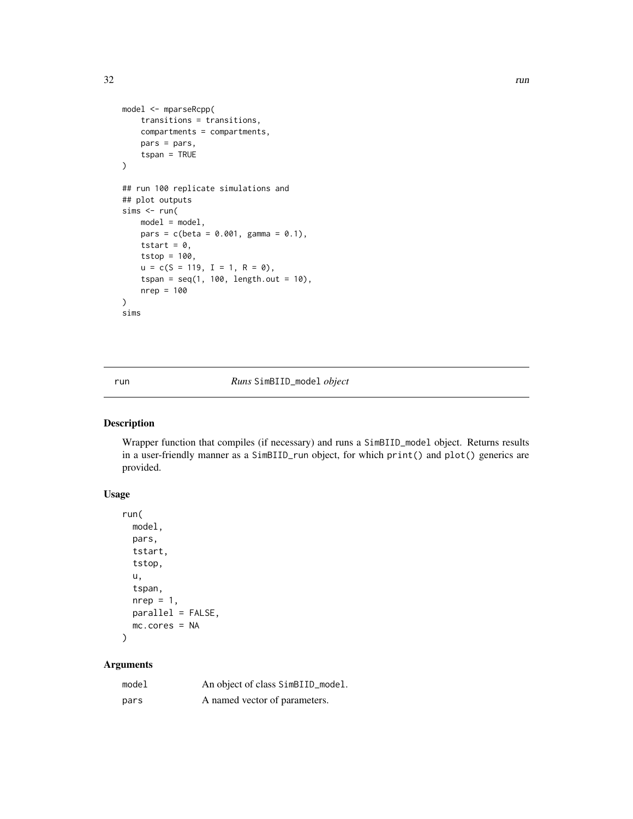```
model <- mparseRcpp(
    transitions = transitions,
    compartments = compartments,
    pars = pars,
    tspan = TRUE
\mathcal{L}## run 100 replicate simulations and
## plot outputs
sims < - run(model = model,pars = c(beta = 0.001, gamma = 0.1),tstart = 0,
    tstop = 100,
    u = c(S = 119, I = 1, R = 0),
    tspan = seq(1, 100, length.out = 10),
    nrep = 100
)
sims
```
<span id="page-31-1"></span>run *Runs* SimBIID\_model *object*

#### Description

Wrapper function that compiles (if necessary) and runs a SimBIID\_model object. Returns results in a user-friendly manner as a SimBIID\_run object, for which print() and plot() generics are provided.

## Usage

```
run(
  model,
  pars,
  tstart,
  tstop,
  u,
  tspan,
  nrep = 1,
  parallel = FALSE,
  mc.cores = NA
\mathcal{L}
```
## Arguments

| model | An object of class SimBIID_model. |
|-------|-----------------------------------|
| pars  | A named vector of parameters.     |

<span id="page-31-0"></span>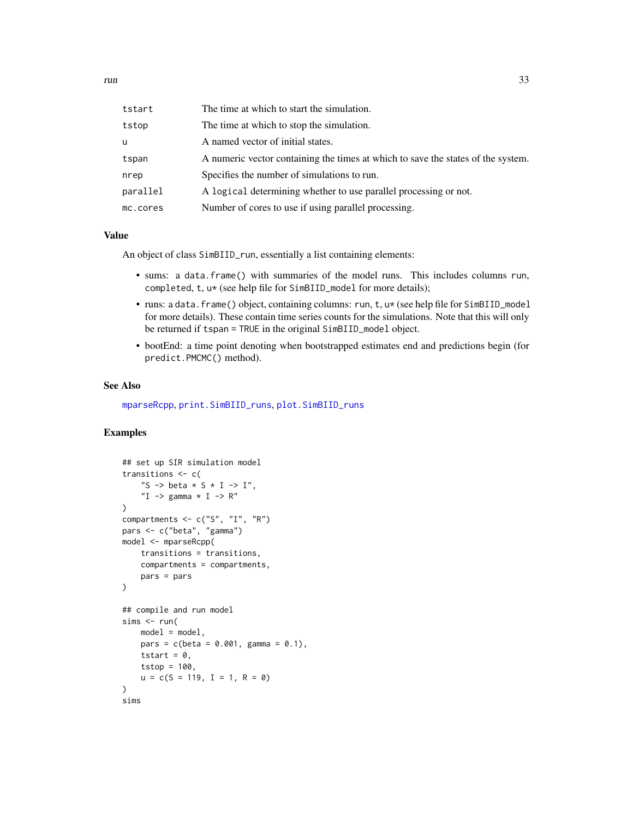<span id="page-32-0"></span>

| tstart   | The time at which to start the simulation.                                       |
|----------|----------------------------------------------------------------------------------|
| tstop    | The time at which to stop the simulation.                                        |
| u        | A named vector of initial states.                                                |
| tspan    | A numeric vector containing the times at which to save the states of the system. |
| nrep     | Specifies the number of simulations to run.                                      |
| parallel | A logical determining whether to use parallel processing or not.                 |
| mc.cores | Number of cores to use if using parallel processing.                             |

#### Value

An object of class SimBIID\_run, essentially a list containing elements:

- sums: a data.frame() with summaries of the model runs. This includes columns run, completed, t, u\* (see help file for SimBIID\_model for more details);
- runs: a data.frame() object, containing columns: run, t, u\* (see help file for SimBIID\_model for more details). These contain time series counts for the simulations. Note that this will only be returned if tspan = TRUE in the original SimBIID\_model object.
- bootEnd: a time point denoting when bootstrapped estimates end and predictions begin (for predict.PMCMC() method).

#### See Also

[mparseRcpp](#page-10-1), [print.SimBIID\\_runs](#page-30-1), [plot.SimBIID\\_runs](#page-17-1)

```
## set up SIR simulation model
transitions <- c(
    "S -> beta * S * I -> I",
    "I \rightarrow gamma * I \rightarrow R"
)
compartments <- c("S", "I", "R")
pars <- c("beta", "gamma")
model <- mparseRcpp(
    transitions = transitions,
    compartments = compartments,
    pars = pars
\mathcal{L}## compile and run model
sims < - run(model = model,pars = c(beta = 0.001, gamma = 0.1),tstart = 0,
    tstop = 100,
    u = c(S = 119, I = 1, R = 0)\lambdasims
```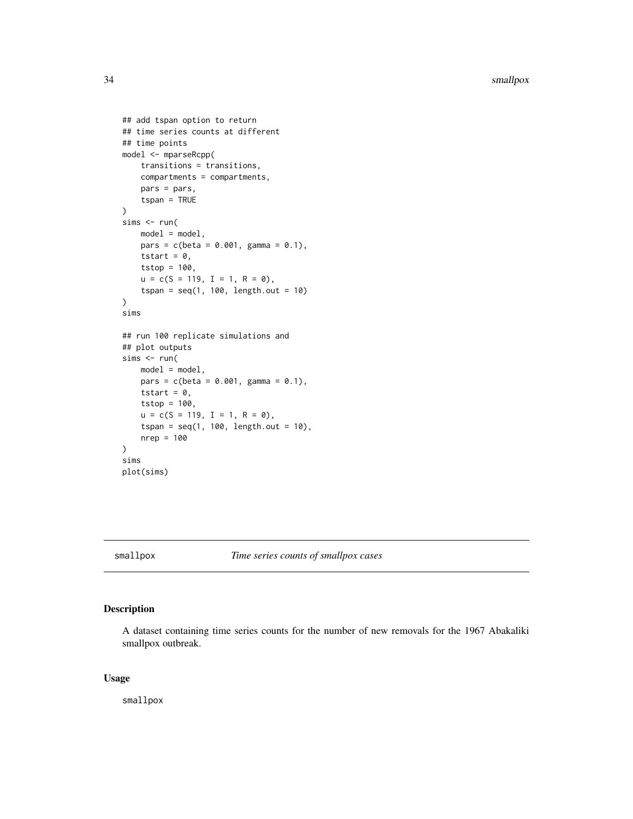```
## add tspan option to return
## time series counts at different
## time points
model <- mparseRcpp(
    transitions = transitions,
    compartments = compartments,
    pars = pars,
    tspan = TRUE
\mathcal{L}sims <- run(
    model = model,pars = c(beta = 0.001, gamma = 0.1),tstart = 0,
    tstop = 100,
    u = c(S = 119, I = 1, R = 0),
    tspan = seq(1, 100, length.out = 10))
sims
## run 100 replicate simulations and
## plot outputs
sims <- run(
    model = model,pars = c(beta = 0.001, gamma = 0.1),tstart = 0,
    tstop = 100,
    u = c(S = 119, I = 1, R = 0),tspan = seq(1, 100, length.out = 10),
    nrep = 100
\mathcal{L}sims
plot(sims)
```
smallpox *Time series counts of smallpox cases*

## Description

A dataset containing time series counts for the number of new removals for the 1967 Abakaliki smallpox outbreak.

#### Usage

smallpox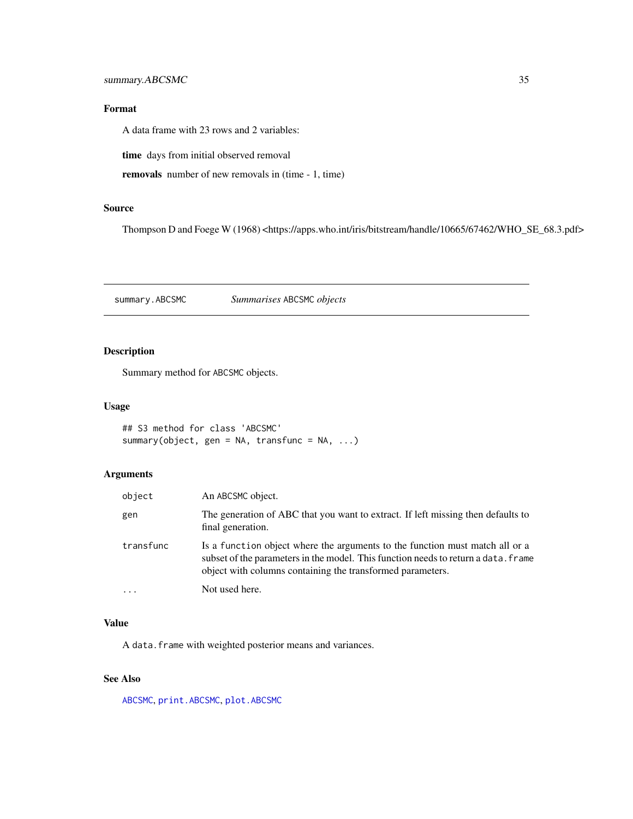## <span id="page-34-0"></span>Format

A data frame with 23 rows and 2 variables:

time days from initial observed removal

removals number of new removals in (time - 1, time)

## Source

Thompson D and Foege W (1968) <https://apps.who.int/iris/bitstream/handle/10665/67462/WHO\_SE\_68.3.pdf>

<span id="page-34-1"></span>summary.ABCSMC *Summarises* ABCSMC *objects*

## Description

Summary method for ABCSMC objects.

#### Usage

```
## S3 method for class 'ABCSMC'
summary(object, gen = NA, transfunc = NA, ...)
```
#### Arguments

| object    | An ABCSMC object.                                                                                                                                                                                                                |
|-----------|----------------------------------------------------------------------------------------------------------------------------------------------------------------------------------------------------------------------------------|
| gen       | The generation of ABC that you want to extract. If left missing then defaults to<br>final generation.                                                                                                                            |
| transfunc | Is a function object where the arguments to the function must match all or a<br>subset of the parameters in the model. This function needs to return a data. Frame<br>object with columns containing the transformed parameters. |
| $\cdots$  | Not used here.                                                                                                                                                                                                                   |

#### Value

A data.frame with weighted posterior means and variances.

## See Also

[ABCSMC](#page-4-1), [print.ABCSMC](#page-25-1), [plot.ABCSMC](#page-12-1)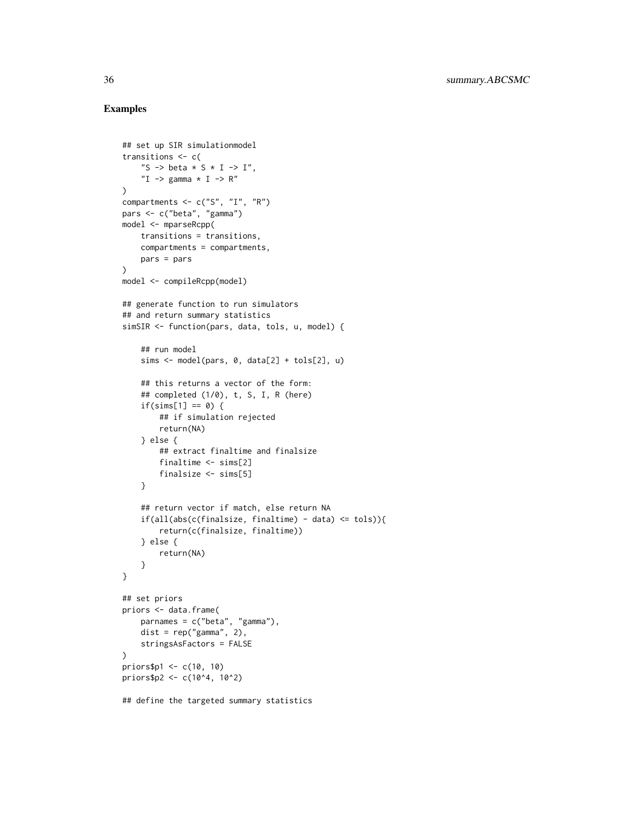```
## set up SIR simulationmodel
transitions <- c(
    "S -> beta * S * I -> I",
    "I \rightarrow gamma * I \rightarrow R"
)
compartments \leq c("S", "I", "R")
pars <- c("beta", "gamma")
model <- mparseRcpp(
    transitions = transitions,
    compartments = compartments,
    pars = pars
)
model <- compileRcpp(model)
## generate function to run simulators
## and return summary statistics
simSIR <- function(pars, data, tols, u, model) {
    ## run model
    sims <- model(pars, 0, data[2] + tols[2], u)
    ## this returns a vector of the form:
    ## completed (1/0), t, S, I, R (here)
    if(sims[1] == 0) {
        ## if simulation rejected
        return(NA)
    } else {
        ## extract finaltime and finalsize
        finaltime <- sims[2]
        finalsize <- sims[5]
    }
    ## return vector if match, else return NA
    if(all(abs(c(finalsize, finaltime) - data) <= tols)){
        return(c(finalsize, finaltime))
    } else {
        return(NA)
    }
}
## set priors
priors <- data.frame(
    parnames = c("beta", "gamma"),
    dist = rep("gamma", 2),stringsAsFactors = FALSE
\mathcal{L}priors$p1 <- c(10, 10)
priors$p2 <- c(10^4, 10^2)
## define the targeted summary statistics
```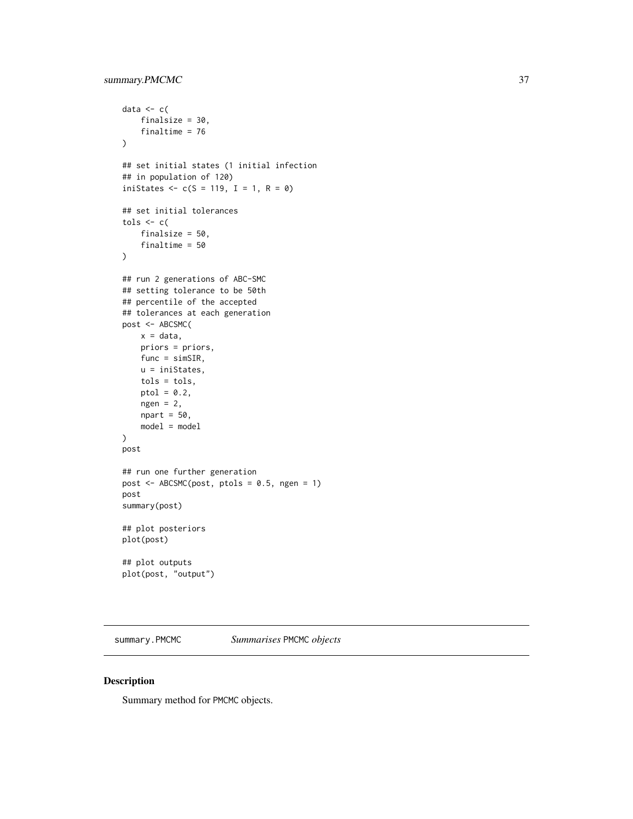```
data <-c(finalsize = 30,
   finaltime = 76
\mathcal{L}## set initial states (1 initial infection
## in population of 120)
iniStates \leq c(S = 119, I = 1, R = 0)## set initial tolerances
tols \leq c (
   finalsize = 50,
    finaltime = 50
)
## run 2 generations of ABC-SMC
## setting tolerance to be 50th
## percentile of the accepted
## tolerances at each generation
post <- ABCSMC(
   x = data,priors = priors,
   func = simSIR,
   u = iniStates,
   tols = tols,
   ptol = 0.2,
   ngen = 2,npart = 50,
   model = model
)
post
## run one further generation
post <- ABCSMC(post, ptols = 0.5, ngen = 1)
post
summary(post)
## plot posteriors
plot(post)
## plot outputs
plot(post, "output")
```
<span id="page-36-1"></span>summary.PMCMC *Summarises* PMCMC *objects*

## Description

Summary method for PMCMC objects.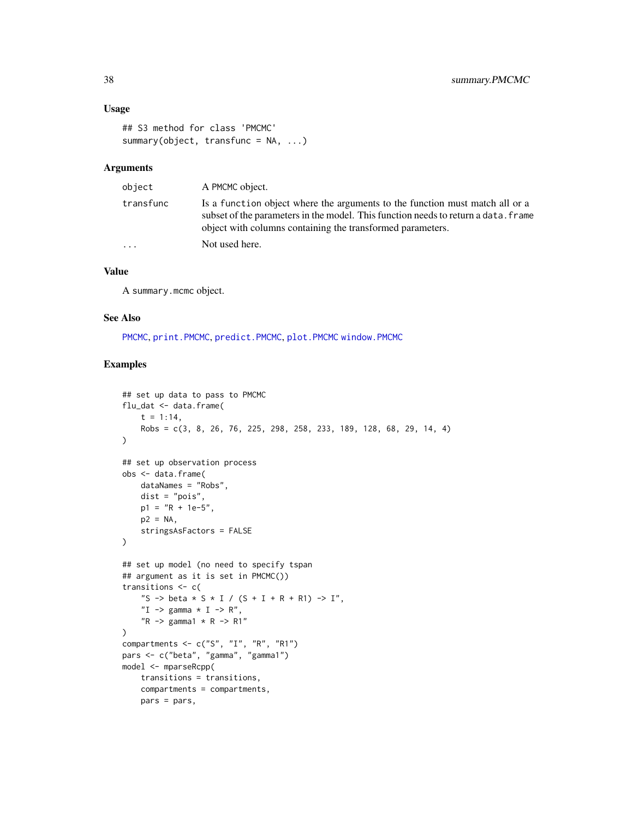## <span id="page-37-0"></span>Usage

```
## S3 method for class 'PMCMC'
summary(object, transfunc = NA, ...)
```
## Arguments

| object    | A PMCMC object.                                                                                                                                                                                                                  |
|-----------|----------------------------------------------------------------------------------------------------------------------------------------------------------------------------------------------------------------------------------|
| transfunc | Is a function object where the arguments to the function must match all or a<br>subset of the parameters in the model. This function needs to return a data. Frame<br>object with columns containing the transformed parameters. |
| $\cdots$  | Not used here.                                                                                                                                                                                                                   |

## Value

A summary.mcmc object.

## See Also

[PMCMC](#page-19-1), [print.PMCMC](#page-27-1), [predict.PMCMC](#page-23-1), [plot.PMCMC](#page-15-1) [window.PMCMC](#page-38-1)

```
## set up data to pass to PMCMC
flu_dat <- data.frame(
    t = 1:14,
    Robs = c(3, 8, 26, 76, 225, 298, 258, 233, 189, 128, 68, 29, 14, 4)
\lambda## set up observation process
obs <- data.frame(
    dataNames = "Robs",
    dist = "pois",
    p1 = "R + 1e-5",p2 = NA,
    stringsAsFactors = FALSE
)
## set up model (no need to specify tspan
## argument as it is set in PMCMC())
transitions <- c(
    "S -> beta * S * I / (S + I + R + R1) -> I",
    "I \rightarrow gamma * I \rightarrow R",
    "R \rightarrow \text{gamma1} * R \rightarrow R1"\mathcal{L}compartments <- c("S", "I", "R", "R1")
pars <- c("beta", "gamma", "gamma1")
model <- mparseRcpp(
    transitions = transitions,
    compartments = compartments,
    pars = pars,
```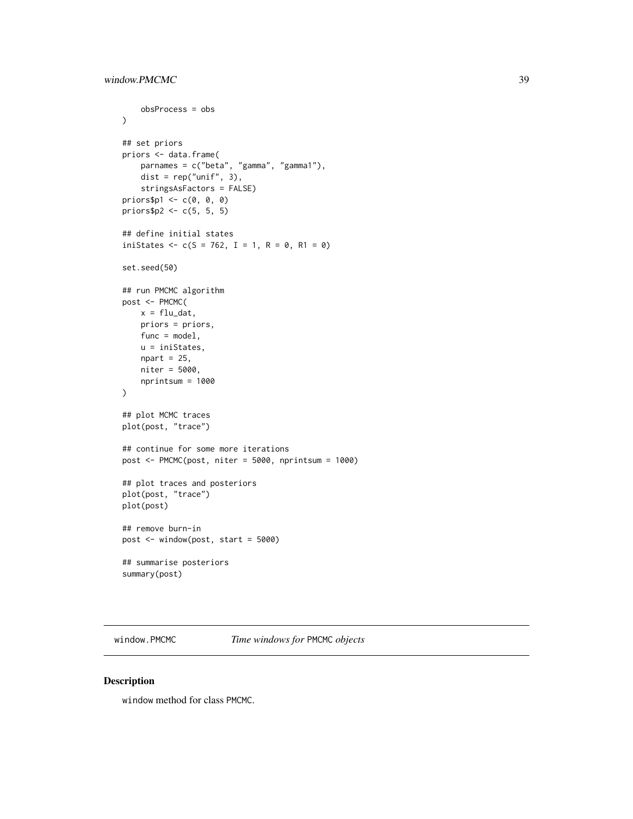```
obsProcess = obs
\mathcal{L}## set priors
priors <- data.frame(
   parnames = c("beta", "gamma", "gamma1"),
   dist = rep("unif", 3),
   stringsAsFactors = FALSE)
priors$p1 \leq c(0, 0, 0)
priors$p2 <- c(5, 5, 5)
## define initial states
iniStates <- c(S = 762, I = 1, R = 0, R1 = 0)
set.seed(50)
## run PMCMC algorithm
post <- PMCMC(
   x = flu_data,priors = priors,
   func = model,u = iniStates,
   npart = 25,
   niter = 5000,
   nprintsum = 1000
)
## plot MCMC traces
plot(post, "trace")
## continue for some more iterations
post <- PMCMC(post, niter = 5000, nprintsum = 1000)
## plot traces and posteriors
plot(post, "trace")
plot(post)
## remove burn-in
post <- window(post, start = 5000)
## summarise posteriors
summary(post)
```
<span id="page-38-1"></span>window.PMCMC *Time windows for* PMCMC *objects*

#### Description

window method for class PMCMC.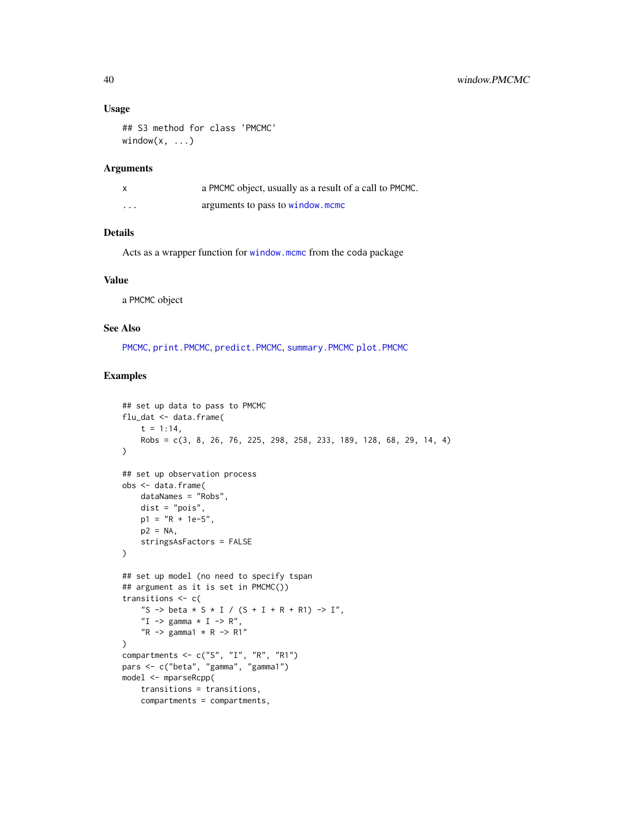#### Usage

```
## S3 method for class 'PMCMC'
window(x, \ldots)
```
#### Arguments

|          | a PMCMC object, usually as a result of a call to PMCMC. |
|----------|---------------------------------------------------------|
| $\cdots$ | arguments to pass to window.mcmc                        |

## Details

Acts as a wrapper function for [window.mcmc](#page-0-0) from the coda package

#### Value

a PMCMC object

#### See Also

[PMCMC](#page-19-1), [print.PMCMC](#page-27-1), [predict.PMCMC](#page-23-1), [summary.PMCMC](#page-36-1) [plot.PMCMC](#page-15-1)

```
## set up data to pass to PMCMC
flu_dat <- data.frame(
    t = 1:14,
    Robs = c(3, 8, 26, 76, 225, 298, 258, 233, 189, 128, 68, 29, 14, 4)
\mathcal{L}## set up observation process
obs <- data.frame(
    dataNames = "Robs",
    dist = "pois",
    p1 = "R + 1e-5",p2 = NA,
    stringsAsFactors = FALSE
\lambda## set up model (no need to specify tspan
## argument as it is set in PMCMC())
transitions <- c(
    "S -> beta * S * I / (S + I + R + R1) -> I",
    "I \rightarrow gamma * I \rightarrow R",
    "R \rightarrow \text{gamma1} * R \rightarrow R1"\mathcal{L}compartments <- c("S", "I", "R", "R1")
pars <- c("beta", "gamma", "gamma1")
model <- mparseRcpp(
    transitions = transitions,
    compartments = compartments,
```
<span id="page-39-0"></span>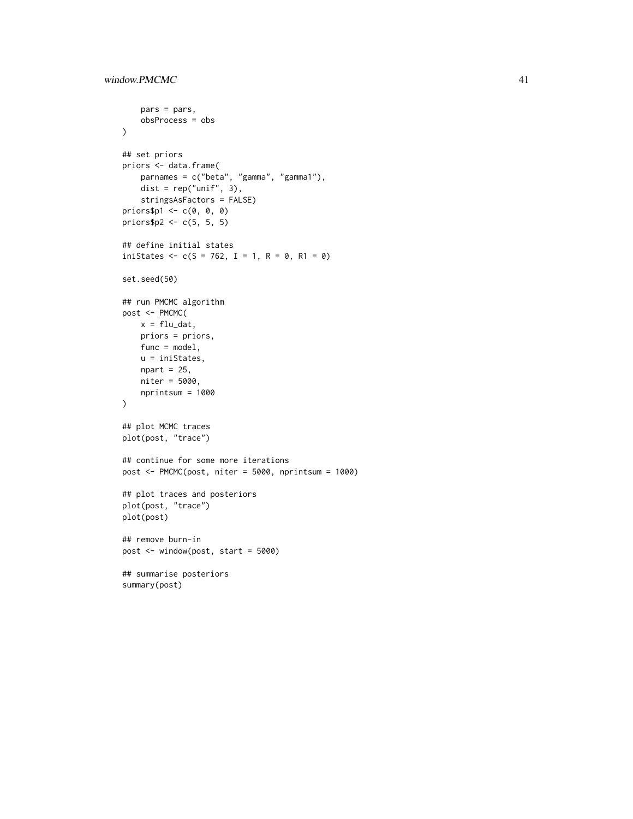```
pars = pars,
   obsProcess = obs
)
## set priors
priors <- data.frame(
   parnames = c("beta", "gamma", "gamma1"),
   dist = rep("unif", 3),
   stringsAsFactors = FALSE)
priors$p1 < -c(0, 0, 0)priors$p2 <- c(5, 5, 5)
## define initial states
iniStates <- c(S = 762, I = 1, R = 0, R1 = 0)set.seed(50)
## run PMCMC algorithm
post <- PMCMC(
   x = flu_data,priors = priors,
   func = model,u = iniStates,
   npart = 25,
   niter = 5000,
   nprintsum = 1000
\mathcal{L}## plot MCMC traces
plot(post, "trace")
## continue for some more iterations
post <- PMCMC(post, niter = 5000, nprintsum = 1000)
## plot traces and posteriors
plot(post, "trace")
plot(post)
## remove burn-in
post <- window(post, start = 5000)
## summarise posteriors
summary(post)
```